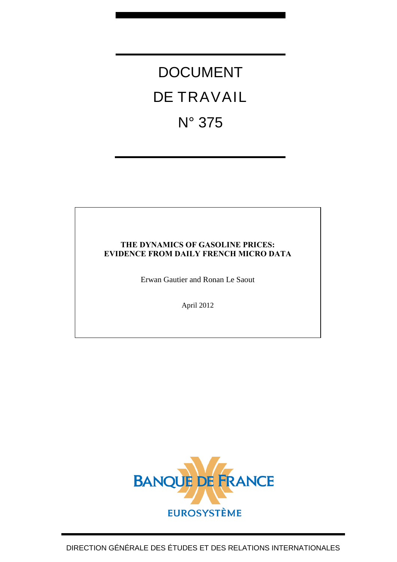# DOCUMENT DE TRAVAIL N° 375

# **THE DYNAMICS OF GASOLINE PRICES: EVIDENCE FROM DAILY FRENCH MICRO DATA**

Erwan Gautier and Ronan Le Saout

April 2012

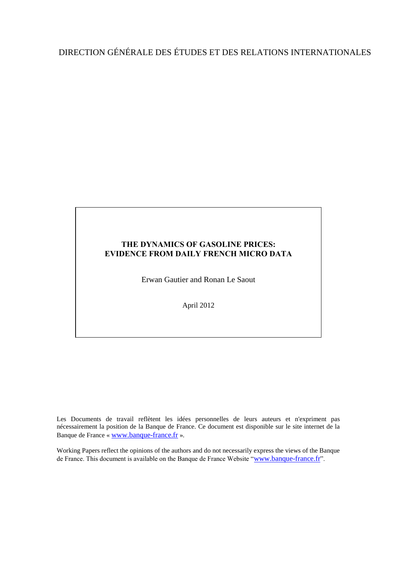# DIRECTION GÉNÉRALE DES ÉTUDES ET DES RELATIONS INTERNATIONALES

### **THE DYNAMICS OF GASOLINE PRICES: EVIDENCE FROM DAILY FRENCH MICRO DATA**

Erwan Gautier and Ronan Le Saout

April 2012

Les Documents de travail reflètent les idées personnelles de leurs auteurs et n'expriment pas nécessairement la position de la Banque de France. Ce document est disponible sur le site internet de la Banque de France « [www.banque-france.fr](http://www.banque-france.fr/) ».

Working Papers reflect the opinions of the authors and do not necessarily express the views of the Banque de France. This document is available on the Banque de France Website "[www.banque-france.fr](http://www.banque-france.fr/)".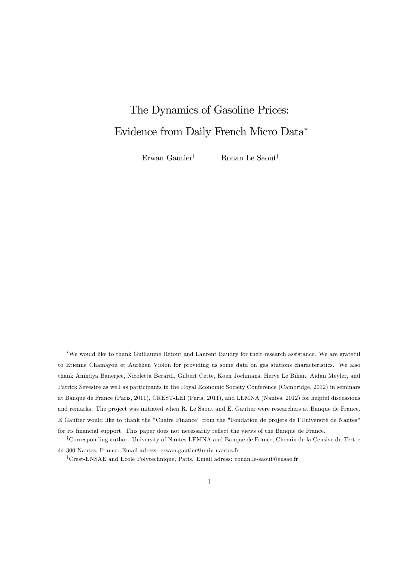# The Dynamics of Gasoline Prices: Evidence from Daily French Micro Data

Erwan Gautier<sup>†</sup> Ronan Le Saout<sup>‡</sup>

We would like to thank Guillaume Retout and Laurent Baudry for their research assistance. We are grateful to Etienne Chamayou et AurÈlien Violon for providing us some data on gas stations characteristics. We also thank Anindya Banerjee, Nicoletta Berardi, Gilbert Cette, Koen Jochmans, Hervé Le Bihan, Aidan Meyler, and Patrick Sevestre as well as participants in the Royal Economic Society Conference (Cambridge, 2012) in seminars at Banque de France (Paris, 2011), CREST-LEI (Paris, 2011), and LEMNA (Nantes, 2012) for helpful discussions and remarks. The project was initiated when R. Le Saout and E. Gautier were researchers at Banque de France. E Gautier would like to thank the "Chaire Finance" from the "Fondation de projets de l'Université de Nantes" for its financial support. This paper does not necessarily reflect the views of the Banque de France.

<sup>&</sup>lt;sup>†</sup>Corresponding author. University of Nantes-LEMNA and Banque de France, Chemin de la Censive du Tertre 44 300 Nantes, France. Email adress: erwan.gautier@univ-nantes.fr

<sup>&</sup>lt;sup>‡</sup>Crest-ENSAE and Ecole Polytechnique, Paris. Email adress: ronan.le-saout@ensae.fr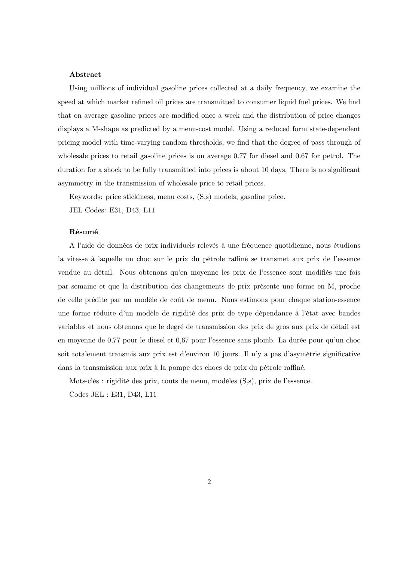#### Abstract

Using millions of individual gasoline prices collected at a daily frequency, we examine the speed at which market refined oil prices are transmitted to consumer liquid fuel prices. We find that on average gasoline prices are modified once a week and the distribution of price changes displays a M-shape as predicted by a menu-cost model. Using a reduced form state-dependent pricing model with time-varying random thresholds, we find that the degree of pass through of wholesale prices to retail gasoline prices is on average 0.77 for diesel and 0.67 for petrol. The duration for a shock to be fully transmitted into prices is about 10 days. There is no significant asymmetry in the transmission of wholesale price to retail prices.

Keywords: price stickiness, menu costs, (S,s) models, gasoline price.

JEL Codes: E31, D43, L11

#### RÈsumÈ

A l'aide de données de prix individuels relevés à une fréquence quotidienne, nous étudions la vitesse à laquelle un choc sur le prix du pétrole raffiné se transmet aux prix de l'essence vendue au détail. Nous obtenons qu'en moyenne les prix de l'essence sont modifiés une fois par semaine et que la distribution des changements de prix présente une forme en M, proche de celle prédite par un modèle de coût de menu. Nous estimons pour chaque station-essence une forme réduite d'un modèle de rigidité des prix de type dépendance à l'état avec bandes variables et nous obtenons que le degré de transmission des prix de gros aux prix de détail est en moyenne de  $0.77$  pour le diesel et  $0.67$  pour l'essence sans plomb. La durée pour qu'un choc soit totalement transmis aux prix est d'environ  $10$  jours. Il n'y a pas d'asymètrie significative dans la transmission aux prix à la pompe des chocs de prix du pétrole raffiné.

Mots-clés : rigidité des prix, couts de menu, modèles  $(S,s)$ , prix de l'essence.

Codes JEL : E31, D43, L11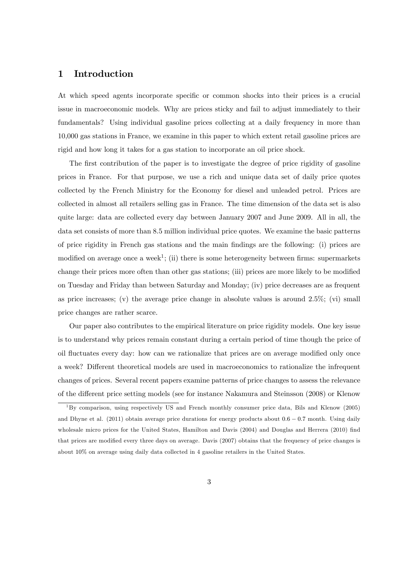## 1 Introduction

At which speed agents incorporate specific or common shocks into their prices is a crucial issue in macroeconomic models. Why are prices sticky and fail to adjust immediately to their fundamentals? Using individual gasoline prices collecting at a daily frequency in more than 10,000 gas stations in France, we examine in this paper to which extent retail gasoline prices are rigid and how long it takes for a gas station to incorporate an oil price shock.

The first contribution of the paper is to investigate the degree of price rigidity of gasoline prices in France. For that purpose, we use a rich and unique data set of daily price quotes collected by the French Ministry for the Economy for diesel and unleaded petrol. Prices are collected in almost all retailers selling gas in France. The time dimension of the data set is also quite large: data are collected every day between January 2007 and June 2009. All in all, the data set consists of more than 8:5 million individual price quotes. We examine the basic patterns of price rigidity in French gas stations and the main Öndings are the following: (i) prices are modified on average once a week<sup>1</sup>; (ii) there is some heterogeneity between firms: supermarkets change their prices more often than other gas stations; (iii) prices are more likely to be modified on Tuesday and Friday than between Saturday and Monday; (iv) price decreases are as frequent as price increases; (v) the average price change in absolute values is around  $2.5\%$ ; (vi) small price changes are rather scarce.

Our paper also contributes to the empirical literature on price rigidity models. One key issue is to understand why prices remain constant during a certain period of time though the price of oil fluctuates every day: how can we rationalize that prices are on average modified only once a week? Different theoretical models are used in macroeconomics to rationalize the infrequent changes of prices. Several recent papers examine patterns of price changes to assess the relevance of the different price setting models (see for instance Nakamura and Steinsson (2008) or Klenow

 $1By$  comparison, using respectively US and French monthly consumer price data, Bils and Klenow (2005) and Dhyne et al. (2011) obtain average price durations for energy products about  $0.6 - 0.7$  month. Using daily wholesale micro prices for the United States, Hamilton and Davis (2004) and Douglas and Herrera (2010) find that prices are modified every three days on average. Davis (2007) obtains that the frequency of price changes is about 10% on average using daily data collected in 4 gasoline retailers in the United States.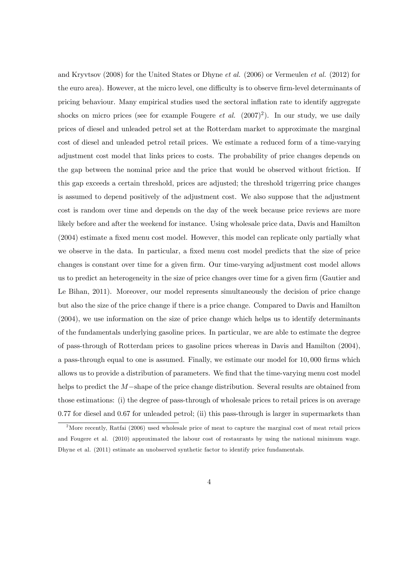and Kryvtsov (2008) for the United States or Dhyne et al. (2006) or Vermeulen et al. (2012) for the euro area). However, at the micro level, one difficulty is to observe firm-level determinants of pricing behaviour. Many empirical studies used the sectoral inflation rate to identify aggregate shocks on micro prices (see for example Fougere *et al.*  $(2007)^2$ ). In our study, we use daily prices of diesel and unleaded petrol set at the Rotterdam market to approximate the marginal cost of diesel and unleaded petrol retail prices. We estimate a reduced form of a time-varying adjustment cost model that links prices to costs. The probability of price changes depends on the gap between the nominal price and the price that would be observed without friction. If this gap exceeds a certain threshold, prices are adjusted; the threshold trigerring price changes is assumed to depend positively of the adjustment cost. We also suppose that the adjustment cost is random over time and depends on the day of the week because price reviews are more likely before and after the weekend for instance. Using wholesale price data, Davis and Hamilton (2004) estimate a fixed menu cost model. However, this model can replicate only partially what we observe in the data. In particular, a fixed menu cost model predicts that the size of price changes is constant over time for a given firm. Our time-varying adjustment cost model allows us to predict an heterogeneity in the size of price changes over time for a given firm (Gautier and Le Bihan, 2011). Moreover, our model represents simultaneously the decision of price change but also the size of the price change if there is a price change. Compared to Davis and Hamilton (2004), we use information on the size of price change which helps us to identify determinants of the fundamentals underlying gasoline prices. In particular, we are able to estimate the degree of pass-through of Rotterdam prices to gasoline prices whereas in Davis and Hamilton (2004), a pass-through equal to one is assumed. Finally, we estimate our model for 10,000 firms which allows us to provide a distribution of parameters. We find that the time-varying menu cost model helps to predict the  $M$ -shape of the price change distribution. Several results are obtained from those estimations: (i) the degree of pass-through of wholesale prices to retail prices is on average 0:77 for diesel and 0:67 for unleaded petrol; (ii) this pass-through is larger in supermarkets than

<sup>&</sup>lt;sup>2</sup>More recently, Ratfai (2006) used wholesale price of meat to capture the marginal cost of meat retail prices and Fougere et al. (2010) approximated the labour cost of restaurants by using the national minimum wage. Dhyne et al. (2011) estimate an unobserved synthetic factor to identify price fundamentals.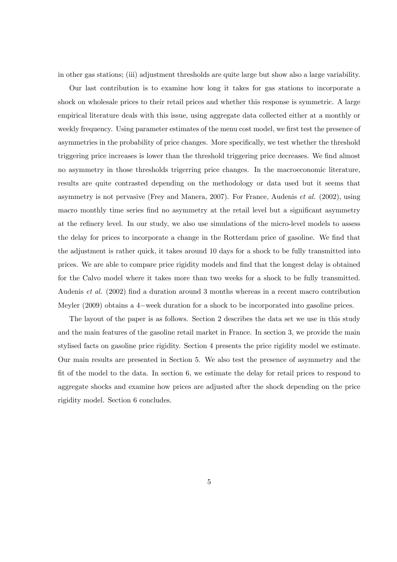in other gas stations; (iii) adjustment thresholds are quite large but show also a large variability.

Our last contribution is to examine how long it takes for gas stations to incorporate a shock on wholesale prices to their retail prices and whether this response is symmetric. A large empirical literature deals with this issue, using aggregate data collected either at a monthly or weekly frequency. Using parameter estimates of the menu cost model, we first test the presence of asymmetries in the probability of price changes. More specifically, we test whether the threshold triggering price increases is lower than the threshold triggering price decreases. We find almost no asymmetry in those thresholds trigerring price changes. In the macroeconomic literature, results are quite contrasted depending on the methodology or data used but it seems that asymmetry is not pervasive (Frey and Manera, 2007). For France, Audenis et al. (2002), using macro monthly time series find no asymmetry at the retail level but a significant asymmetry at the refinery level. In our study, we also use simulations of the micro-level models to assess the delay for prices to incorporate a change in the Rotterdam price of gasoline. We find that the adjustment is rather quick, it takes around 10 days for a shock to be fully transmitted into prices. We are able to compare price rigidity models and find that the longest delay is obtained for the Calvo model where it takes more than two weeks for a shock to be fully transmitted. Audenis *et al.* (2002) find a duration around 3 months whereas in a recent macro contribution Meyler  $(2009)$  obtains a 4-week duration for a shock to be incorporated into gasoline prices.

The layout of the paper is as follows. Section 2 describes the data set we use in this study and the main features of the gasoline retail market in France. In section 3, we provide the main stylised facts on gasoline price rigidity. Section 4 presents the price rigidity model we estimate. Our main results are presented in Section 5. We also test the presence of asymmetry and the Öt of the model to the data. In section 6, we estimate the delay for retail prices to respond to aggregate shocks and examine how prices are adjusted after the shock depending on the price rigidity model. Section 6 concludes.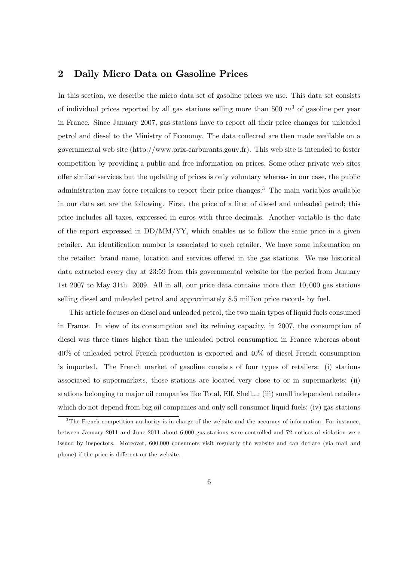# 2 Daily Micro Data on Gasoline Prices

In this section, we describe the micro data set of gasoline prices we use. This data set consists of individual prices reported by all gas stations selling more than 500  $m^3$  of gasoline per year in France. Since January 2007, gas stations have to report all their price changes for unleaded petrol and diesel to the Ministry of Economy. The data collected are then made available on a governmental web site (http://www.prix-carburants.gouv.fr). This web site is intended to foster competition by providing a public and free information on prices. Some other private web sites o§er similar services but the updating of prices is only voluntary whereas in our case, the public administration may force retailers to report their price changes.<sup>3</sup> The main variables available in our data set are the following. First, the price of a liter of diesel and unleaded petrol; this price includes all taxes, expressed in euros with three decimals. Another variable is the date of the report expressed in DD/MM/YY, which enables us to follow the same price in a given retailer. An identification number is associated to each retailer. We have some information on the retailer: brand name, location and services offered in the gas stations. We use historical data extracted every day at 23:59 from this governmental website for the period from January 1st 2007 to May 31th 2009. All in all, our price data contains more than 10; 000 gas stations selling diesel and unleaded petrol and approximately 8:5 million price records by fuel.

This article focuses on diesel and unleaded petrol, the two main types of liquid fuels consumed in France. In view of its consumption and its refining capacity, in 2007, the consumption of diesel was three times higher than the unleaded petrol consumption in France whereas about 40% of unleaded petrol French production is exported and 40% of diesel French consumption is imported. The French market of gasoline consists of four types of retailers: (i) stations associated to supermarkets, those stations are located very close to or in supermarkets; (ii) stations belonging to major oil companies like Total, Elf, Shell...; (iii) small independent retailers which do not depend from big oil companies and only sell consumer liquid fuels; (iv) gas stations

<sup>&</sup>lt;sup>3</sup>The French competition authority is in charge of the website and the accuracy of information. For instance, between January 2011 and June 2011 about 6,000 gas stations were controlled and 72 notices of violation were issued by inspectors. Moreover, 600,000 consumers visit regularly the website and can declare (via mail and phone) if the price is different on the website.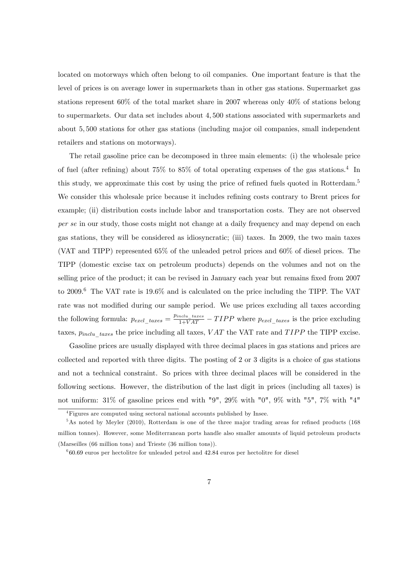located on motorways which often belong to oil companies. One important feature is that the level of prices is on average lower in supermarkets than in other gas stations. Supermarket gas stations represent 60% of the total market share in 2007 whereas only 40% of stations belong to supermarkets. Our data set includes about 4; 500 stations associated with supermarkets and about 5; 500 stations for other gas stations (including major oil companies, small independent retailers and stations on motorways).

The retail gasoline price can be decomposed in three main elements: (i) the wholesale price of fuel (after refining) about  $75\%$  to  $85\%$  of total operating expenses of the gas stations.<sup>4</sup> In this study, we approximate this cost by using the price of refined fuels quoted in Rotterdam.<sup>5</sup> We consider this wholesale price because it includes refining costs contrary to Brent prices for example; (ii) distribution costs include labor and transportation costs. They are not observed per se in our study, those costs might not change at a daily frequency and may depend on each gas stations, they will be considered as idiosyncratic; (iii) taxes. In 2009, the two main taxes (VAT and TIPP) represented 65% of the unleaded petrol prices and 60% of diesel prices. The TIPP (domestic excise tax on petroleum products) depends on the volumes and not on the selling price of the product; it can be revised in January each year but remains fixed from 2007 to 2009.<sup>6</sup> The VAT rate is 19.6% and is calculated on the price including the TIPP. The VAT rate was not modified during our sample period. We use prices excluding all taxes according the following formula:  $p_{excl\_taxes} = \frac{p_{incl} - taxes}{1 + VAT} - TIPP$  where  $p_{excl\_taxes}$  is the price excluding taxes,  $p_{inclu$  taxes the price including all taxes, V AT the VAT rate and T IPP the TIPP excise.

Gasoline prices are usually displayed with three decimal places in gas stations and prices are collected and reported with three digits. The posting of 2 or 3 digits is a choice of gas stations and not a technical constraint. So prices with three decimal places will be considered in the following sections. However, the distribution of the last digit in prices (including all taxes) is not uniform:  $31\%$  of gasoline prices end with "9",  $29\%$  with "0",  $9\%$  with "5",  $7\%$  with "4"

<sup>4</sup>Figures are computed using sectoral national accounts published by Insee.

 $5$ As noted by Meyler (2010), Rotterdam is one of the three major trading areas for refined products (168) million tonnes). However, some Mediterranean ports handle also smaller amounts of liquid petroleum products (Marseilles (66 million tons) and Trieste (36 million tons)).

<sup>6</sup> 60:69 euros per hectolitre for unleaded petrol and 42:84 euros per hectolitre for diesel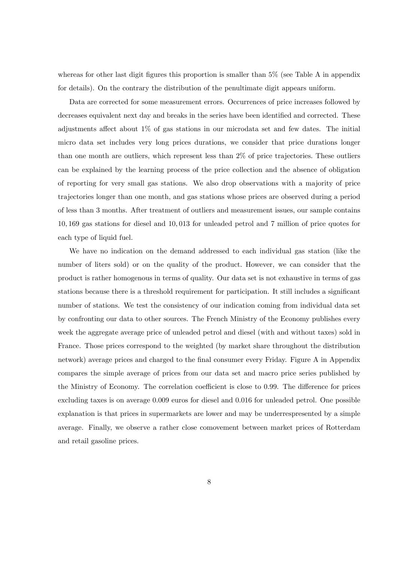whereas for other last digit figures this proportion is smaller than  $5\%$  (see Table A in appendix for details). On the contrary the distribution of the penultimate digit appears uniform.

Data are corrected for some measurement errors. Occurrences of price increases followed by decreases equivalent next day and breaks in the series have been identified and corrected. These adjustments affect about  $1\%$  of gas stations in our microdata set and few dates. The initial micro data set includes very long prices durations, we consider that price durations longer than one month are outliers, which represent less than 2% of price trajectories. These outliers can be explained by the learning process of the price collection and the absence of obligation of reporting for very small gas stations. We also drop observations with a majority of price trajectories longer than one month, and gas stations whose prices are observed during a period of less than 3 months. After treatment of outliers and measurement issues, our sample contains 10; 169 gas stations for diesel and 10; 013 for unleaded petrol and 7 million of price quotes for each type of liquid fuel.

We have no indication on the demand addressed to each individual gas station (like the number of liters sold) or on the quality of the product. However, we can consider that the product is rather homogenous in terms of quality. Our data set is not exhaustive in terms of gas stations because there is a threshold requirement for participation. It still includes a significant number of stations. We test the consistency of our indication coming from individual data set by confronting our data to other sources. The French Ministry of the Economy publishes every week the aggregate average price of unleaded petrol and diesel (with and without taxes) sold in France. Those prices correspond to the weighted (by market share throughout the distribution network) average prices and charged to the final consumer every Friday. Figure A in Appendix compares the simple average of prices from our data set and macro price series published by the Ministry of Economy. The correlation coefficient is close to 0.99. The difference for prices excluding taxes is on average 0:009 euros for diesel and 0:016 for unleaded petrol. One possible explanation is that prices in supermarkets are lower and may be underrespresented by a simple average. Finally, we observe a rather close comovement between market prices of Rotterdam and retail gasoline prices.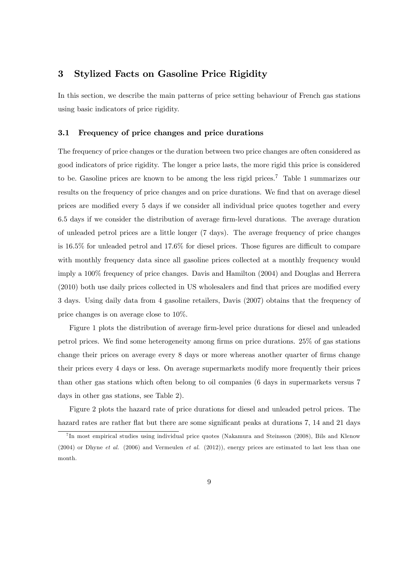# 3 Stylized Facts on Gasoline Price Rigidity

In this section, we describe the main patterns of price setting behaviour of French gas stations using basic indicators of price rigidity.

#### 3.1 Frequency of price changes and price durations

The frequency of price changes or the duration between two price changes are often considered as good indicators of price rigidity. The longer a price lasts, the more rigid this price is considered to be. Gasoline prices are known to be among the less rigid prices.<sup>7</sup> Table 1 summarizes our results on the frequency of price changes and on price durations. We find that on average diesel prices are modified every 5 days if we consider all individual price quotes together and every 6.5 days if we consider the distribution of average firm-level durations. The average duration of unleaded petrol prices are a little longer (7 days). The average frequency of price changes is  $16.5\%$  for unleaded petrol and  $17.6\%$  for diesel prices. Those figures are difficult to compare with monthly frequency data since all gasoline prices collected at a monthly frequency would imply a 100% frequency of price changes. Davis and Hamilton (2004) and Douglas and Herrera  $(2010)$  both use daily prices collected in US wholesalers and find that prices are modified every 3 days. Using daily data from 4 gasoline retailers, Davis (2007) obtains that the frequency of price changes is on average close to 10%.

Figure 1 plots the distribution of average firm-level price durations for diesel and unleaded petrol prices. We Önd some heterogeneity among Örms on price durations. 25% of gas stations change their prices on average every 8 days or more whereas another quarter of firms change their prices every 4 days or less. On average supermarkets modify more frequently their prices than other gas stations which often belong to oil companies (6 days in supermarkets versus 7 days in other gas stations, see Table 2).

Figure 2 plots the hazard rate of price durations for diesel and unleaded petrol prices. The hazard rates are rather flat but there are some significant peaks at durations 7, 14 and 21 days

<sup>&</sup>lt;sup>7</sup>In most empirical studies using individual price quotes (Nakamura and Steinsson (2008), Bils and Klenow  $(2004)$  or Dhyne *et al.*  $(2006)$  and Vermeulen *et al.*  $(2012)$ ), energy prices are estimated to last less than one month.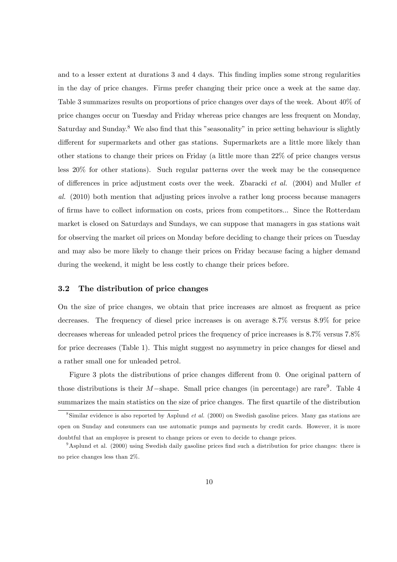and to a lesser extent at durations 3 and 4 days. This finding implies some strong regularities in the day of price changes. Firms prefer changing their price once a week at the same day. Table 3 summarizes results on proportions of price changes over days of the week. About 40% of price changes occur on Tuesday and Friday whereas price changes are less frequent on Monday, Saturday and Sunday.<sup>8</sup> We also find that this "seasonality" in price setting behaviour is slightly different for supermarkets and other gas stations. Supermarkets are a little more likely than other stations to change their prices on Friday (a little more than 22% of price changes versus less 20% for other stations). Such regular patterns over the week may be the consequence of differences in price adjustment costs over the week. Zbaracki *et al.* (2004) and Muller *et* al. (2010) both mention that adjusting prices involve a rather long process because managers of Örms have to collect information on costs, prices from competitors... Since the Rotterdam market is closed on Saturdays and Sundays, we can suppose that managers in gas stations wait for observing the market oil prices on Monday before deciding to change their prices on Tuesday and may also be more likely to change their prices on Friday because facing a higher demand during the weekend, it might be less costly to change their prices before.

#### 3.2 The distribution of price changes

On the size of price changes, we obtain that price increases are almost as frequent as price decreases. The frequency of diesel price increases is on average 8:7% versus 8:9% for price decreases whereas for unleaded petrol prices the frequency of price increases is 8.7% versus 7.8% for price decreases (Table 1). This might suggest no asymmetry in price changes for diesel and a rather small one for unleaded petrol.

Figure 3 plots the distributions of price changes different from 0. One original pattern of those distributions is their  $M$ -shape. Small price changes (in percentage) are rare<sup>9</sup>. Table 4 summarizes the main statistics on the size of price changes. The first quartile of the distribution

<sup>&</sup>lt;sup>8</sup>Similar evidence is also reported by Asplund *et al.* (2000) on Swedish gasoline prices. Many gas stations are open on Sunday and consumers can use automatic pumps and payments by credit cards. However, it is more doubtful that an employee is present to change prices or even to decide to change prices.

<sup>&</sup>lt;sup>9</sup>Asplund et al. (2000) using Swedish daily gasoline prices find such a distribution for price changes: there is no price changes less than 2%.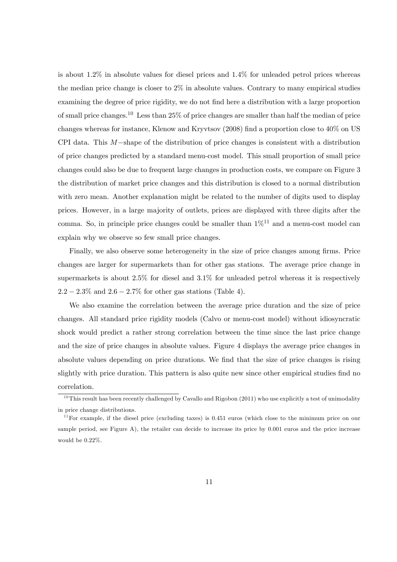is about  $1.2\%$  in absolute values for diesel prices and  $1.4\%$  for unleaded petrol prices whereas the median price change is closer to  $2\%$  in absolute values. Contrary to many empirical studies examining the degree of price rigidity, we do not find here a distribution with a large proportion of small price changes.<sup>10</sup> Less than  $25\%$  of price changes are smaller than half the median of price changes whereas for instance, Klenow and Kryvtsov (2008) Önd a proportion close to 40% on US CPI data. This  $M$ -shape of the distribution of price changes is consistent with a distribution of price changes predicted by a standard menu-cost model. This small proportion of small price changes could also be due to frequent large changes in production costs, we compare on Figure 3 the distribution of market price changes and this distribution is closed to a normal distribution with zero mean. Another explanation might be related to the number of digits used to display prices. However, in a large majority of outlets, prices are displayed with three digits after the comma. So, in principle price changes could be smaller than  $1\%^{11}$  and a menu-cost model can explain why we observe so few small price changes.

Finally, we also observe some heterogeneity in the size of price changes among firms. Price changes are larger for supermarkets than for other gas stations. The average price change in supermarkets is about 2.5% for diesel and 3.1% for unleaded petrol whereas it is respectively  $2.2 - 2.3\%$  and  $2.6 - 2.7\%$  for other gas stations (Table 4).

We also examine the correlation between the average price duration and the size of price changes. All standard price rigidity models (Calvo or menu-cost model) without idiosyncratic shock would predict a rather strong correlation between the time since the last price change and the size of price changes in absolute values. Figure 4 displays the average price changes in absolute values depending on price durations. We find that the size of price changes is rising slightly with price duration. This pattern is also quite new since other empirical studies find no correlation.

 $10$ This result has been recently challenged by Cavallo and Rigobon (2011) who use explicitly a test of unimodality in price change distributions.

 $11$  For example, if the diesel price (excluding taxes) is 0.451 euros (which close to the minimum price on our sample period, see Figure A), the retailer can decide to increase its price by 0.001 euros and the price increase would be 0.22%.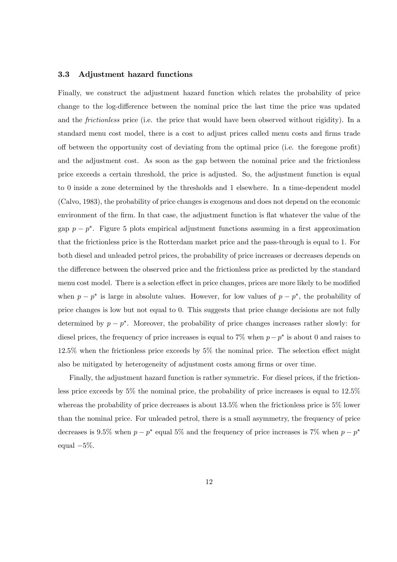#### 3.3 Adjustment hazard functions

Finally, we construct the adjustment hazard function which relates the probability of price change to the log-difference between the nominal price the last time the price was updated and the *frictionless* price (i.e. the price that would have been observed without rigidity). In a standard menu cost model, there is a cost to adjust prices called menu costs and firms trade off between the opportunity cost of deviating from the optimal price (i.e. the foregone profit) and the adjustment cost. As soon as the gap between the nominal price and the frictionless price exceeds a certain threshold, the price is adjusted. So, the adjustment function is equal to 0 inside a zone determined by the thresholds and 1 elsewhere. In a time-dependent model (Calvo, 1983), the probability of price changes is exogenous and does not depend on the economic environment of the firm. In that case, the adjustment function is flat whatever the value of the gap  $p - p^*$ . Figure 5 plots empirical adjustment functions assuming in a first approximation that the frictionless price is the Rotterdam market price and the pass-through is equal to 1. For both diesel and unleaded petrol prices, the probability of price increases or decreases depends on the difference between the observed price and the frictionless price as predicted by the standard menu cost model. There is a selection effect in price changes, prices are more likely to be modified when  $p - p^*$  is large in absolute values. However, for low values of  $p - p^*$ , the probability of price changes is low but not equal to 0. This suggests that price change decisions are not fully determined by  $p - p^*$ . Moreover, the probability of price changes increases rather slowly: for diesel prices, the frequency of price increases is equal to 7% when  $p - p^*$  is about 0 and raises to  $12.5\%$  when the frictionless price exceeds by  $5\%$  the nominal price. The selection effect might also be mitigated by heterogeneity of adjustment costs among firms or over time.

Finally, the adjustment hazard function is rather symmetric. For diesel prices, if the frictionless price exceeds by 5% the nominal price, the probability of price increases is equal to 12:5% whereas the probability of price decreases is about 13.5% when the frictionless price is 5% lower than the nominal price. For unleaded petrol, there is a small asymmetry, the frequency of price decreases is 9.5% when  $p - p^*$  equal 5% and the frequency of price increases is 7% when  $p - p^*$ equal  $-5\%$ .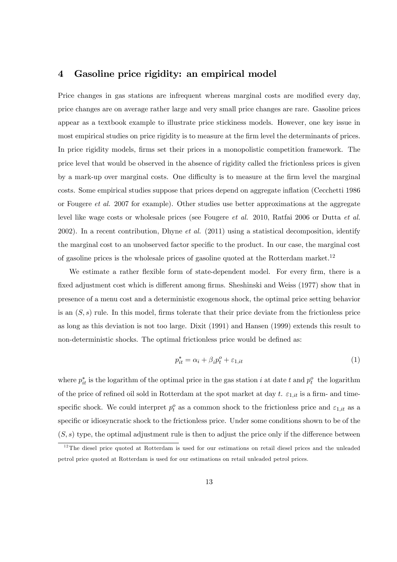# 4 Gasoline price rigidity: an empirical model

Price changes in gas stations are infrequent whereas marginal costs are modified every day, price changes are on average rather large and very small price changes are rare. Gasoline prices appear as a textbook example to illustrate price stickiness models. However, one key issue in most empirical studies on price rigidity is to measure at the firm level the determinants of prices. In price rigidity models, firms set their prices in a monopolistic competition framework. The price level that would be observed in the absence of rigidity called the frictionless prices is given by a mark-up over marginal costs. One difficulty is to measure at the firm level the marginal costs. Some empirical studies suppose that prices depend on aggregate ináation (Cecchetti 1986 or Fougere et al. 2007 for example). Other studies use better approximations at the aggregate level like wage costs or wholesale prices (see Fougere et al. 2010, Ratfai 2006 or Dutta et al. 2002). In a recent contribution, Dhyne *et al.* (2011) using a statistical decomposition, identify the marginal cost to an unobserved factor specific to the product. In our case, the marginal cost of gasoline prices is the wholesale prices of gasoline quoted at the Rotterdam market.<sup>12</sup>

We estimate a rather flexible form of state-dependent model. For every firm, there is a fixed adjustment cost which is different among firms. Sheshinski and Weiss (1977) show that in presence of a menu cost and a deterministic exogenous shock, the optimal price setting behavior is an  $(S, s)$  rule. In this model, firms tolerate that their price deviate from the frictionless price as long as this deviation is not too large. Dixit (1991) and Hansen (1999) extends this result to non-deterministic shocks. The optimal frictionless price would be defined as:

$$
p_{it}^* = \alpha_i + \beta_i p_t^o + \varepsilon_{1,it} \tag{1}
$$

where  $p_{it}^*$  is the logarithm of the optimal price in the gas station *i* at date *t* and  $p_t^o$  the logarithm of the price of refined oil sold in Rotterdam at the spot market at day t.  $\varepsilon_{1,it}$  is a firm- and timespecific shock. We could interpret  $p_t^o$  as a common shock to the frictionless price and  $\varepsilon_{1,it}$  as a specific or idiosyncratic shock to the frictionless price. Under some conditions shown to be of the  $(S, s)$  type, the optimal adjustment rule is then to adjust the price only if the difference between

 $12$ The diesel price quoted at Rotterdam is used for our estimations on retail diesel prices and the unleaded petrol price quoted at Rotterdam is used for our estimations on retail unleaded petrol prices.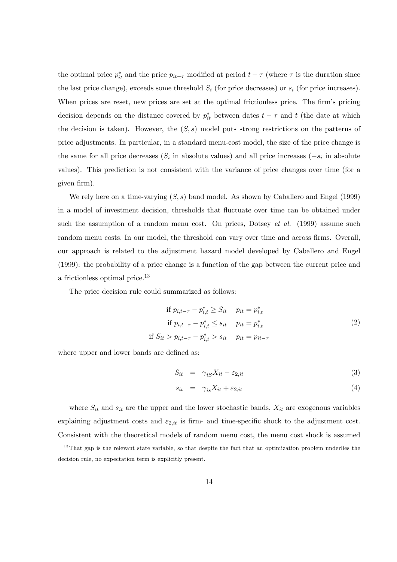the optimal price  $p_{it}^*$  and the price  $p_{it-\tau}$  modified at period  $t-\tau$  (where  $\tau$  is the duration since the last price change), exceeds some threshold  $S_i$  (for price decreases) or  $s_i$  (for price increases). When prices are reset, new prices are set at the optimal frictionless price. The firm's pricing decision depends on the distance covered by  $p_{it}^*$  between dates  $t - \tau$  and t (the date at which the decision is taken). However, the  $(S, s)$  model puts strong restrictions on the patterns of price adjustments. In particular, in a standard menu-cost model, the size of the price change is the same for all price decreases  $(S_i$  in absolute values) and all price increases  $(-s_i)$  in absolute values). This prediction is not consistent with the variance of price changes over time (for a given firm).

We rely here on a time-varying  $(S, s)$  band model. As shown by Caballero and Engel (1999) in a model of investment decision, thresholds that fluctuate over time can be obtained under such the assumption of a random menu cost. On prices, Dotsey *et al.* (1999) assume such random menu costs. In our model, the threshold can vary over time and across firms. Overall, our approach is related to the adjustment hazard model developed by Caballero and Engel (1999): the probability of a price change is a function of the gap between the current price and a frictionless optimal price.<sup>13</sup>

The price decision rule could summarized as follows:

if 
$$
p_{i,t-\tau} - p_{i,t}^* \ge S_{it}
$$
  $p_{it} = p_{i,t}^*$   
if  $p_{i,t-\tau} - p_{i,t}^* \le s_{it}$   $p_{it} = p_{i,t}^*$   
if  $S_{it} > p_{i,t-\tau} - p_{i,t}^* > s_{it}$   $p_{it} = p_{it-\tau}$  (2)

where upper and lower bands are defined as:

$$
S_{it} = \gamma_{iS} X_{it} - \varepsilon_{2,it} \tag{3}
$$

$$
s_{it} = \gamma_{is} X_{it} + \varepsilon_{2,it} \tag{4}
$$

where  $S_{it}$  and  $s_{it}$  are the upper and the lower stochastic bands,  $X_{it}$  are exogenous variables explaining adjustment costs and  $\varepsilon_{2,it}$  is firm- and time-specific shock to the adjustment cost. Consistent with the theoretical models of random menu cost, the menu cost shock is assumed

 $13$ That gap is the relevant state variable, so that despite the fact that an optimization problem underlies the decision rule, no expectation term is explicitly present.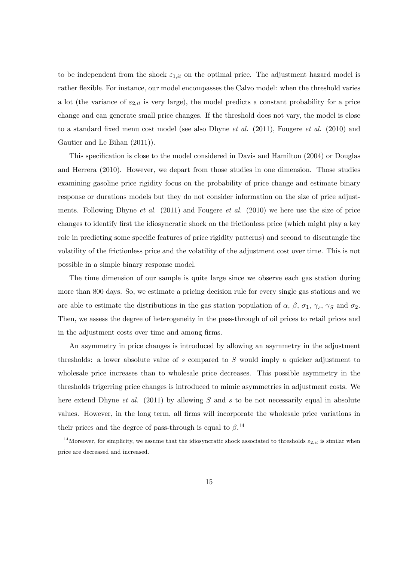to be independent from the shock  $\varepsilon_{1,it}$  on the optimal price. The adjustment hazard model is rather flexible. For instance, our model encompasses the Calvo model: when the threshold varies a lot (the variance of  $\varepsilon_{2,ii}$  is very large), the model predicts a constant probability for a price change and can generate small price changes. If the threshold does not vary, the model is close to a standard fixed menu cost model (see also Dhyne *et al.* (2011), Fougere *et al.* (2010) and Gautier and Le Bihan (2011)).

This specification is close to the model considered in Davis and Hamilton (2004) or Douglas and Herrera (2010). However, we depart from those studies in one dimension. Those studies examining gasoline price rigidity focus on the probability of price change and estimate binary response or durations models but they do not consider information on the size of price adjustments. Following Dhyne *et al.* (2011) and Fougere *et al.* (2010) we here use the size of price changes to identify first the idiosyncratic shock on the frictionless price (which might play a key role in predicting some specific features of price rigidity patterns) and second to disentangle the volatility of the frictionless price and the volatility of the adjustment cost over time. This is not possible in a simple binary response model.

The time dimension of our sample is quite large since we observe each gas station during more than 800 days. So, we estimate a pricing decision rule for every single gas stations and we are able to estimate the distributions in the gas station population of  $\alpha$ ,  $\beta$ ,  $\sigma_1$ ,  $\gamma_s$ ,  $\gamma_s$  and  $\sigma_2$ . Then, we assess the degree of heterogeneity in the pass-through of oil prices to retail prices and in the adjustment costs over time and among firms.

An asymmetry in price changes is introduced by allowing an asymmetry in the adjustment thresholds: a lower absolute value of s compared to S would imply a quicker adjustment to wholesale price increases than to wholesale price decreases. This possible asymmetry in the thresholds trigerring price changes is introduced to mimic asymmetries in adjustment costs. We here extend Dhyne *et al.* (2011) by allowing S and s to be not necessarily equal in absolute values. However, in the long term, all firms will incorporate the wholesale price variations in their prices and the degree of pass-through is equal to  $\beta$ .<sup>14</sup>

<sup>&</sup>lt;sup>14</sup>Moreover, for simplicity, we assume that the idiosyncratic shock associated to thresholds  $\varepsilon_{2,it}$  is similar when price are decreased and increased.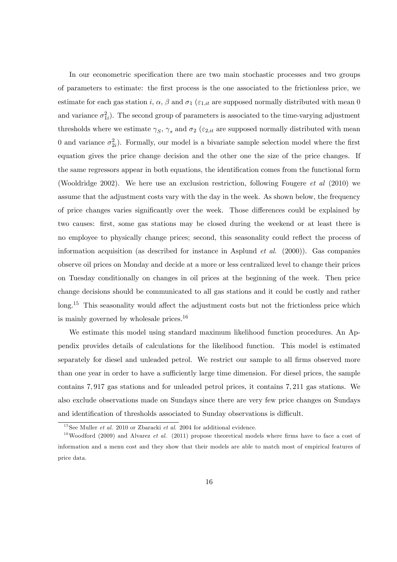In our econometric specification there are two main stochastic processes and two groups of parameters to estimate: the Örst process is the one associated to the frictionless price, we estimate for each gas station i,  $\alpha$ ,  $\beta$  and  $\sigma_1$  ( $\varepsilon_{1,it}$  are supposed normally distributed with mean 0 and variance  $\sigma_{1i}^2$ ). The second group of parameters is associated to the time-varying adjustment thresholds where we estimate  $\gamma_S$ ,  $\gamma_s$  and  $\sigma_2$  ( $\varepsilon_{2,it}$  are supposed normally distributed with mean 0 and variance  $\sigma_{2i}^2$ ). Formally, our model is a bivariate sample selection model where the first equation gives the price change decision and the other one the size of the price changes. If the same regressors appear in both equations, the identification comes from the functional form (Wooldridge 2002). We here use an exclusion restriction, following Fougere et al (2010) we assume that the adjustment costs vary with the day in the week. As shown below, the frequency of price changes varies significantly over the week. Those differences could be explained by two causes: Örst, some gas stations may be closed during the weekend or at least there is no employee to physically change prices; second, this seasonality could reflect the process of information acquisition (as described for instance in Asplund *et al.* (2000)). Gas companies observe oil prices on Monday and decide at a more or less centralized level to change their prices on Tuesday conditionally on changes in oil prices at the beginning of the week. Then price change decisions should be communicated to all gas stations and it could be costly and rather  $\log^{15}$  This seasonality would affect the adjustment costs but not the frictionless price which is mainly governed by wholesale prices.<sup>16</sup>

We estimate this model using standard maximum likelihood function procedures. An Appendix provides details of calculations for the likelihood function. This model is estimated separately for diesel and unleaded petrol. We restrict our sample to all firms observed more than one year in order to have a sufficiently large time dimension. For diesel prices, the sample contains 7; 917 gas stations and for unleaded petrol prices, it contains 7; 211 gas stations. We also exclude observations made on Sundays since there are very few price changes on Sundays and identification of thresholds associated to Sunday observations is difficult.

<sup>&</sup>lt;sup>15</sup>See Muller *et al.* 2010 or Zbaracki *et al.* 2004 for additional evidence.

<sup>&</sup>lt;sup>16</sup>Woodford (2009) and Alvarez *et al.* (2011) propose theoretical models where firms have to face a cost of information and a menu cost and they show that their models are able to match most of empirical features of price data.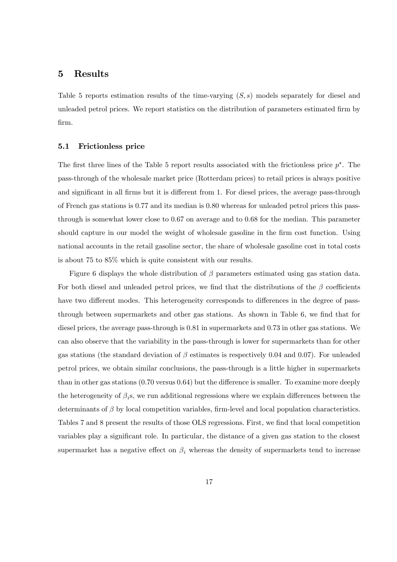### 5 Results

Table 5 reports estimation results of the time-varying  $(S, s)$  models separately for diesel and unleaded petrol prices. We report statistics on the distribution of parameters estimated Örm by Örm.

#### 5.1 Frictionless price

The first three lines of the Table 5 report results associated with the frictionless price  $p^*$ . The pass-through of the wholesale market price (Rotterdam prices) to retail prices is always positive and significant in all firms but it is different from 1. For diesel prices, the average pass-through of French gas stations is 0:77 and its median is 0:80 whereas for unleaded petrol prices this passthrough is somewhat lower close to 0:67 on average and to 0:68 for the median. This parameter should capture in our model the weight of wholesale gasoline in the firm cost function. Using national accounts in the retail gasoline sector, the share of wholesale gasoline cost in total costs is about 75 to 85% which is quite consistent with our results.

Figure 6 displays the whole distribution of  $\beta$  parameters estimated using gas station data. For both diesel and unleaded petrol prices, we find that the distributions of the  $\beta$  coefficients have two different modes. This heterogeneity corresponds to differences in the degree of passthrough between supermarkets and other gas stations. As shown in Table 6, we find that for diesel prices, the average pass-through is 0:81 in supermarkets and 0:73 in other gas stations. We can also observe that the variability in the pass-through is lower for supermarkets than for other gas stations (the standard deviation of  $\beta$  estimates is respectively 0.04 and 0.07). For unleaded petrol prices, we obtain similar conclusions, the pass-through is a little higher in supermarkets than in other gas stations  $(0.70 \text{ versus } 0.64)$  but the difference is smaller. To examine more deeply the heterogeneity of  $\beta_i$ s, we run additional regressions where we explain differences between the determinants of  $\beta$  by local competition variables, firm-level and local population characteristics. Tables 7 and 8 present the results of those OLS regressions. First, we find that local competition variables play a significant role. In particular, the distance of a given gas station to the closest supermarket has a negative effect on  $\beta_i$  whereas the density of supermarkets tend to increase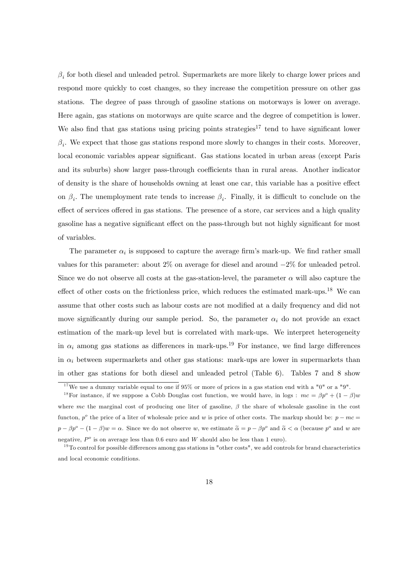$\beta_i$  for both diesel and unleaded petrol. Supermarkets are more likely to charge lower prices and respond more quickly to cost changes, so they increase the competition pressure on other gas stations. The degree of pass through of gasoline stations on motorways is lower on average. Here again, gas stations on motorways are quite scarce and the degree of competition is lower. We also find that gas stations using pricing points strategies<sup>17</sup> tend to have significant lower  $\beta_i$ . We expect that those gas stations respond more slowly to changes in their costs. Moreover, local economic variables appear significant. Gas stations located in urban areas (except Paris and its suburbs) show larger pass-through coefficients than in rural areas. Another indicator of density is the share of households owning at least one car, this variable has a positive effect on  $\beta_i$ . The unemployment rate tends to increase  $\beta_i$ . Finally, it is difficult to conclude on the effect of services offered in gas stations. The presence of a store, car services and a high quality gasoline has a negative significant effect on the pass-through but not highly significant for most of variables.

The parameter  $\alpha_i$  is supposed to capture the average firm's mark-up. We find rather small values for this parameter: about  $2\%$  on average for diesel and around  $-2\%$  for unleaded petrol. Since we do not observe all costs at the gas-station-level, the parameter  $\alpha$  will also capture the effect of other costs on the frictionless price, which reduces the estimated mark-ups.<sup>18</sup> We can assume that other costs such as labour costs are not modified at a daily frequency and did not move significantly during our sample period. So, the parameter  $\alpha_i$  do not provide an exact estimation of the mark-up level but is correlated with mark-ups. We interpret heterogeneity in  $\alpha_i$  among gas stations as differences in mark-ups.<sup>19</sup> For instance, we find large differences in  $\alpha_i$  between supermarkets and other gas stations: mark-ups are lower in supermarkets than in other gas stations for both diesel and unleaded petrol (Table 6). Tables 7 and 8 show

<sup>&</sup>lt;sup>17</sup>We use a dummy variable equal to one if 95% or more of prices in a gas station end with a "0" or a "9".

<sup>&</sup>lt;sup>18</sup>For instance, if we suppose a Cobb Douglas cost function, we would have, in logs :  $mc = \beta p^o + (1 - \beta)w$ where mc the marginal cost of producing one liter of gasoline,  $\beta$  the share of wholesale gasoline in the cost functon,  $p^o$  the price of a liter of wholesale price and w is price of other costs. The markup should be:  $p - mc =$  $p - \beta p^o - (1 - \beta)w = \alpha$ . Since we do not observe w, we estimate  $\tilde{\alpha} = p - \beta p^o$  and  $\tilde{\alpha} < \alpha$  (because  $p^o$  and w are negative,  $P^o$  is on average less than 0.6 euro and W should also be less than 1 euro).

 $19$ To control for possible differences among gas stations in "other costs", we add controls for brand characteristics and local economic conditions.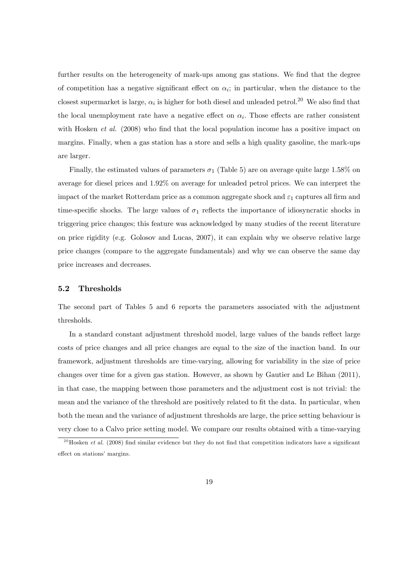further results on the heterogeneity of mark-ups among gas stations. We find that the degree of competition has a negative significant effect on  $\alpha_i$ ; in particular, when the distance to the closest supermarket is large,  $\alpha_i$  is higher for both diesel and unleaded petrol.<sup>20</sup> We also find that the local unemployment rate have a negative effect on  $\alpha_i$ . Those effects are rather consistent with Hosken *et al.* (2008) who find that the local population income has a positive impact on margins. Finally, when a gas station has a store and sells a high quality gasoline, the mark-ups are larger.

Finally, the estimated values of parameters  $\sigma_1$  (Table 5) are on average quite large 1.58% on average for diesel prices and 1:92% on average for unleaded petrol prices. We can interpret the impact of the market Rotterdam price as a common aggregate shock and  $\varepsilon_1$  captures all firm and time-specific shocks. The large values of  $\sigma_1$  reflects the importance of idiosyncratic shocks in triggering price changes; this feature was acknowledged by many studies of the recent literature on price rigidity (e.g. Golosov and Lucas, 2007), it can explain why we observe relative large price changes (compare to the aggregate fundamentals) and why we can observe the same day price increases and decreases.

#### 5.2 Thresholds

The second part of Tables 5 and 6 reports the parameters associated with the adjustment thresholds.

In a standard constant adjustment threshold model, large values of the bands reflect large costs of price changes and all price changes are equal to the size of the inaction band. In our framework, adjustment thresholds are time-varying, allowing for variability in the size of price changes over time for a given gas station. However, as shown by Gautier and Le Bihan (2011), in that case, the mapping between those parameters and the adjustment cost is not trivial: the mean and the variance of the threshold are positively related to fit the data. In particular, when both the mean and the variance of adjustment thresholds are large, the price setting behaviour is very close to a Calvo price setting model. We compare our results obtained with a time-varying

<sup>&</sup>lt;sup>20</sup>Hosken *et al.* (2008) find similar evidence but they do not find that competition indicators have a significant effect on stations' margins.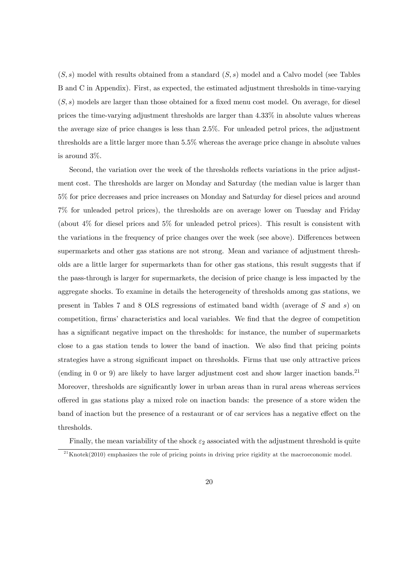$(S, s)$  model with results obtained from a standard  $(S, s)$  model and a Calvo model (see Tables B and C in Appendix). First, as expected, the estimated adjustment thresholds in time-varying  $(S, s)$  models are larger than those obtained for a fixed menu cost model. On average, for diesel prices the time-varying adjustment thresholds are larger than 4:33% in absolute values whereas the average size of price changes is less than 2:5%. For unleaded petrol prices, the adjustment thresholds are a little larger more than 5:5% whereas the average price change in absolute values is around 3%.

Second, the variation over the week of the thresholds reflects variations in the price adjustment cost. The thresholds are larger on Monday and Saturday (the median value is larger than 5% for price decreases and price increases on Monday and Saturday for diesel prices and around 7% for unleaded petrol prices), the thresholds are on average lower on Tuesday and Friday (about 4% for diesel prices and 5% for unleaded petrol prices). This result is consistent with the variations in the frequency of price changes over the week (see above). Differences between supermarkets and other gas stations are not strong. Mean and variance of adjustment thresholds are a little larger for supermarkets than for other gas stations, this result suggests that if the pass-through is larger for supermarkets, the decision of price change is less impacted by the aggregate shocks. To examine in details the heterogeneity of thresholds among gas stations, we present in Tables 7 and 8 OLS regressions of estimated band width (average of S and s) on competition, firms' characteristics and local variables. We find that the degree of competition has a significant negative impact on the thresholds: for instance, the number of supermarkets close to a gas station tends to lower the band of inaction. We also find that pricing points strategies have a strong significant impact on thresholds. Firms that use only attractive prices (ending in 0 or 9) are likely to have larger adjustment cost and show larger inaction bands.<sup>21</sup> Moreover, thresholds are significantly lower in urban areas than in rural areas whereas services o§ered in gas stations play a mixed role on inaction bands: the presence of a store widen the band of inaction but the presence of a restaurant or of car services has a negative effect on the thresholds.

Finally, the mean variability of the shock  $\varepsilon_2$  associated with the adjustment threshold is quite

 $^{21}$ Knotek(2010) emphasizes the role of pricing points in driving price rigidity at the macroeconomic model.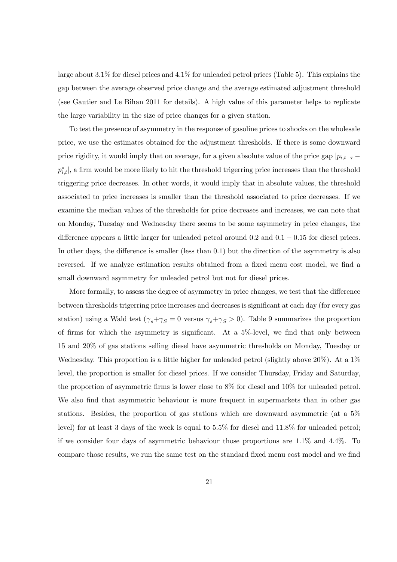large about 3:1% for diesel prices and 4:1% for unleaded petrol prices (Table 5). This explains the gap between the average observed price change and the average estimated adjustment threshold (see Gautier and Le Bihan 2011 for details). A high value of this parameter helps to replicate the large variability in the size of price changes for a given station.

To test the presence of asymmetry in the response of gasoline prices to shocks on the wholesale price, we use the estimates obtained for the adjustment thresholds. If there is some downward price rigidity, it would imply that on average, for a given absolute value of the price gap  $|p_{i,t-\tau}$  $p_{i,t}^*$ , a firm would be more likely to hit the threshold trigerring price increases than the threshold triggering price decreases. In other words, it would imply that in absolute values, the threshold associated to price increases is smaller than the threshold associated to price decreases. If we examine the median values of the thresholds for price decreases and increases, we can note that on Monday, Tuesday and Wednesday there seems to be some asymmetry in price changes, the difference appears a little larger for unleaded petrol around  $0.2$  and  $0.1 - 0.15$  for diesel prices. In other days, the difference is smaller (less than  $(0.1)$ ) but the direction of the asymmetry is also reversed. If we analyze estimation results obtained from a fixed menu cost model, we find a small downward asymmetry for unleaded petrol but not for diesel prices.

More formally, to assess the degree of asymmetry in price changes, we test that the difference between thresholds trigerring price increases and decreases is significant at each day (for every gas station) using a Wald test  $(\gamma_s + \gamma_s) = 0$  versus  $\gamma_s + \gamma_s > 0$ . Table 9 summarizes the proportion of firms for which the asymmetry is significant. At a  $5\%$ -level, we find that only between 15 and 20% of gas stations selling diesel have asymmetric thresholds on Monday, Tuesday or Wednesday. This proportion is a little higher for unleaded petrol (slightly above  $20\%$ ). At a  $1\%$ level, the proportion is smaller for diesel prices. If we consider Thursday, Friday and Saturday, the proportion of asymmetric firms is lower close to  $8\%$  for diesel and  $10\%$  for unleaded petrol. We also find that asymmetric behaviour is more frequent in supermarkets than in other gas stations. Besides, the proportion of gas stations which are downward asymmetric (at a 5% level) for at least 3 days of the week is equal to 5:5% for diesel and 11:8% for unleaded petrol; if we consider four days of asymmetric behaviour those proportions are 1:1% and 4:4%. To compare those results, we run the same test on the standard fixed menu cost model and we find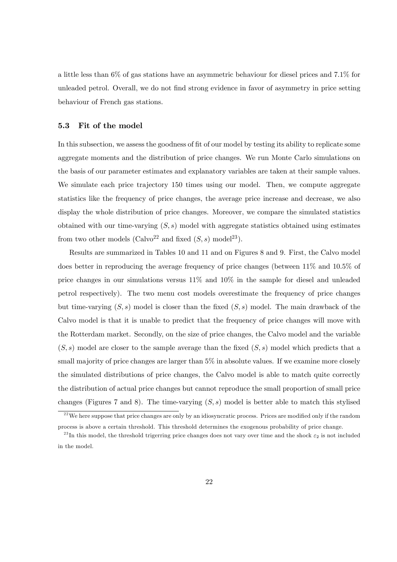a little less than 6% of gas stations have an asymmetric behaviour for diesel prices and 7:1% for unleaded petrol. Overall, we do not find strong evidence in favor of asymmetry in price setting behaviour of French gas stations.

#### 5.3 Fit of the model

In this subsection, we assess the goodness of fit of our model by testing its ability to replicate some aggregate moments and the distribution of price changes. We run Monte Carlo simulations on the basis of our parameter estimates and explanatory variables are taken at their sample values. We simulate each price trajectory 150 times using our model. Then, we compute aggregate statistics like the frequency of price changes, the average price increase and decrease, we also display the whole distribution of price changes. Moreover, we compare the simulated statistics obtained with our time-varying  $(S, s)$  model with aggregate statistics obtained using estimates from two other models (Calvo<sup>22</sup> and fixed  $(S, s)$  model<sup>23</sup>).

Results are summarized in Tables 10 and 11 and on Figures 8 and 9. First, the Calvo model does better in reproducing the average frequency of price changes (between 11% and 10:5% of price changes in our simulations versus 11% and 10% in the sample for diesel and unleaded petrol respectively). The two menu cost models overestimate the frequency of price changes but time-varying  $(S, s)$  model is closer than the fixed  $(S, s)$  model. The main drawback of the Calvo model is that it is unable to predict that the frequency of price changes will move with the Rotterdam market. Secondly, on the size of price changes, the Calvo model and the variable  $(S, s)$  model are closer to the sample average than the fixed  $(S, s)$  model which predicts that a small majority of price changes are larger than  $5\%$  in absolute values. If we examine more closely the simulated distributions of price changes, the Calvo model is able to match quite correctly the distribution of actual price changes but cannot reproduce the small proportion of small price changes (Figures 7 and 8). The time-varying  $(S, s)$  model is better able to match this stylised

 $22$  We here suppose that price changes are only by an idiosyncratic process. Prices are modified only if the random process is above a certain threshold. This threshold determines the exogenous probability of price change.

<sup>&</sup>lt;sup>23</sup>In this model, the threshold trigerring price changes does not vary over time and the shock  $\varepsilon_2$  is not included in the model.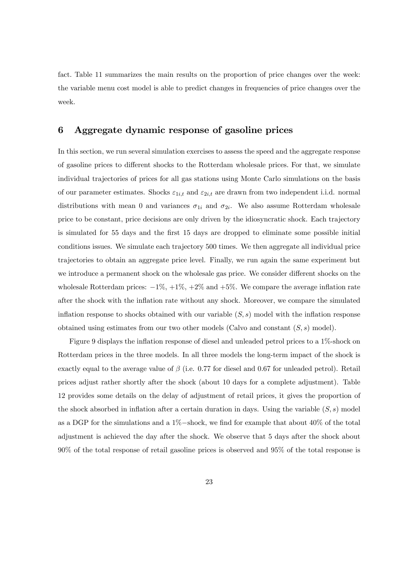fact. Table 11 summarizes the main results on the proportion of price changes over the week: the variable menu cost model is able to predict changes in frequencies of price changes over the week.

# 6 Aggregate dynamic response of gasoline prices

In this section, we run several simulation exercises to assess the speed and the aggregate response of gasoline prices to different shocks to the Rotterdam wholesale prices. For that, we simulate individual trajectories of prices for all gas stations using Monte Carlo simulations on the basis of our parameter estimates. Shocks  $\varepsilon_{1i,t}$  and  $\varepsilon_{2i,t}$  are drawn from two independent i.i.d. normal distributions with mean 0 and variances  $\sigma_{1i}$  and  $\sigma_{2i}$ . We also assume Rotterdam wholesale price to be constant, price decisions are only driven by the idiosyncratic shock. Each trajectory is simulated for 55 days and the first 15 days are dropped to eliminate some possible initial conditions issues. We simulate each trajectory 500 times. We then aggregate all individual price trajectories to obtain an aggregate price level. Finally, we run again the same experiment but we introduce a permanent shock on the wholesale gas price. We consider different shocks on the wholesale Rotterdam prices:  $-1\%, +1\%, +2\%$  and  $+5\%$ . We compare the average inflation rate after the shock with the inflation rate without any shock. Moreover, we compare the simulated inflation response to shocks obtained with our variable  $(S, s)$  model with the inflation response obtained using estimates from our two other models (Calvo and constant  $(S, s)$  model).

Figure 9 displays the inflation response of diesel and unleaded petrol prices to a 1%-shock on Rotterdam prices in the three models. In all three models the long-term impact of the shock is exactly equal to the average value of  $\beta$  (i.e. 0.77 for diesel and 0.67 for unleaded petrol). Retail prices adjust rather shortly after the shock (about 10 days for a complete adjustment). Table 12 provides some details on the delay of adjustment of retail prices, it gives the proportion of the shock absorbed in inflation after a certain duration in days. Using the variable  $(S, s)$  model as a DGP for the simulations and a  $1\%$ -shock, we find for example that about  $40\%$  of the total adjustment is achieved the day after the shock. We observe that 5 days after the shock about 90% of the total response of retail gasoline prices is observed and 95% of the total response is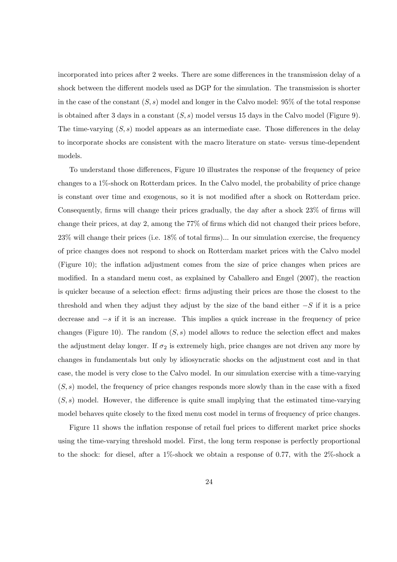incorporated into prices after 2 weeks. There are some differences in the transmission delay of a shock between the different models used as DGP for the simulation. The transmission is shorter in the case of the constant  $(S, s)$  model and longer in the Calvo model: 95% of the total response is obtained after 3 days in a constant  $(S, s)$  model versus 15 days in the Calvo model (Figure 9). The time-varying  $(S, s)$  model appears as an intermediate case. Those differences in the delay to incorporate shocks are consistent with the macro literature on state- versus time-dependent models.

To understand those differences, Figure 10 illustrates the response of the frequency of price changes to a 1%-shock on Rotterdam prices. In the Calvo model, the probability of price change is constant over time and exogenous, so it is not modified after a shock on Rotterdam price. Consequently, firms will change their prices gradually, the day after a shock 23% of firms will change their prices, at day 2, among the 77% of firms which did not changed their prices before,  $23\%$  will change their prices (i.e.  $18\%$  of total firms)... In our simulation exercise, the frequency of price changes does not respond to shock on Rotterdam market prices with the Calvo model (Figure 10); the inflation adjustment comes from the size of price changes when prices are modified. In a standard menu cost, as explained by Caballero and Engel (2007), the reaction is quicker because of a selection effect: firms adjusting their prices are those the closest to the threshold and when they adjust they adjust by the size of the band either  $-S$  if it is a price decrease and  $-s$  if it is an increase. This implies a quick increase in the frequency of price changes (Figure 10). The random  $(S, s)$  model allows to reduce the selection effect and makes the adjustment delay longer. If  $\sigma_2$  is extremely high, price changes are not driven any more by changes in fundamentals but only by idiosyncratic shocks on the adjustment cost and in that case, the model is very close to the Calvo model. In our simulation exercise with a time-varying  $(S, s)$  model, the frequency of price changes responds more slowly than in the case with a fixed  $(S, s)$  model. However, the difference is quite small implying that the estimated time-varying model behaves quite closely to the fixed menu cost model in terms of frequency of price changes.

Figure 11 shows the inflation response of retail fuel prices to different market price shocks using the time-varying threshold model. First, the long term response is perfectly proportional to the shock: for diesel, after a 1%-shock we obtain a response of 0:77, with the 2%-shock a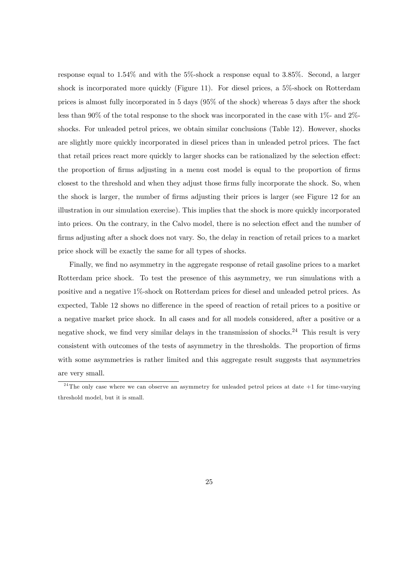response equal to 1:54% and with the 5%-shock a response equal to 3:85%. Second, a larger shock is incorporated more quickly (Figure 11). For diesel prices, a 5%-shock on Rotterdam prices is almost fully incorporated in 5 days (95% of the shock) whereas 5 days after the shock less than 90% of the total response to the shock was incorporated in the case with 1%- and 2% shocks. For unleaded petrol prices, we obtain similar conclusions (Table 12). However, shocks are slightly more quickly incorporated in diesel prices than in unleaded petrol prices. The fact that retail prices react more quickly to larger shocks can be rationalized by the selection effect: the proportion of firms adjusting in a menu cost model is equal to the proportion of firms closest to the threshold and when they adjust those firms fully incorporate the shock. So, when the shock is larger, the number of firms adjusting their prices is larger (see Figure 12 for an illustration in our simulation exercise). This implies that the shock is more quickly incorporated into prices. On the contrary, in the Calvo model, there is no selection effect and the number of firms adjusting after a shock does not vary. So, the delay in reaction of retail prices to a market price shock will be exactly the same for all types of shocks.

Finally, we find no asymmetry in the aggregate response of retail gasoline prices to a market Rotterdam price shock. To test the presence of this asymmetry, we run simulations with a positive and a negative 1%-shock on Rotterdam prices for diesel and unleaded petrol prices. As expected, Table 12 shows no difference in the speed of reaction of retail prices to a positive or a negative market price shock. In all cases and for all models considered, after a positive or a negative shock, we find very similar delays in the transmission of shocks.<sup>24</sup> This result is very consistent with outcomes of the tests of asymmetry in the thresholds. The proportion of firms with some asymmetries is rather limited and this aggregate result suggests that asymmetries are very small.

 $24$ The only case where we can observe an asymmetry for unleaded petrol prices at date  $+1$  for time-varying threshold model, but it is small.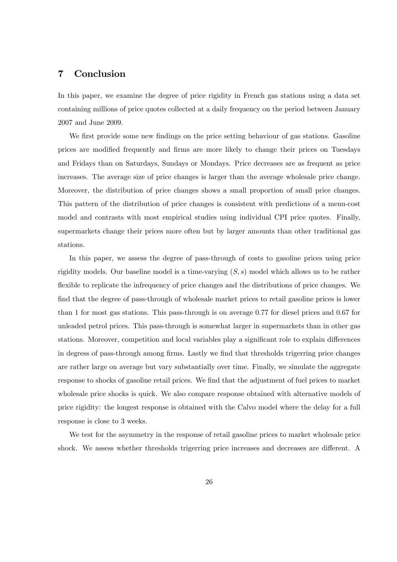# 7 Conclusion

In this paper, we examine the degree of price rigidity in French gas stations using a data set containing millions of price quotes collected at a daily frequency on the period between January 2007 and June 2009.

We first provide some new findings on the price setting behaviour of gas stations. Gasoline prices are modified frequently and firms are more likely to change their prices on Tuesdays and Fridays than on Saturdays, Sundays or Mondays. Price decreases are as frequent as price increases. The average size of price changes is larger than the average wholesale price change. Moreover, the distribution of price changes shows a small proportion of small price changes. This pattern of the distribution of price changes is consistent with predictions of a menu-cost model and contrasts with most empirical studies using individual CPI price quotes. Finally, supermarkets change their prices more often but by larger amounts than other traditional gas stations.

In this paper, we assess the degree of pass-through of costs to gasoline prices using price rigidity models. Our baseline model is a time-varying  $(S, s)$  model which allows us to be rather flexible to replicate the infrequency of price changes and the distributions of price changes. We find that the degree of pass-through of wholesale market prices to retail gasoline prices is lower than 1 for most gas stations. This pass-through is on average 0:77 for diesel prices and 0:67 for unleaded petrol prices. This pass-through is somewhat larger in supermarkets than in other gas stations. Moreover, competition and local variables play a significant role to explain differences in degress of pass-through among firms. Lastly we find that thresholds trigerring price changes are rather large on average but vary substantially over time. Finally, we simulate the aggregate response to shocks of gasoline retail prices. We find that the adjustment of fuel prices to market wholesale price shocks is quick. We also compare response obtained with alternative models of price rigidity: the longest response is obtained with the Calvo model where the delay for a full response is close to 3 weeks.

We test for the asymmetry in the response of retail gasoline prices to market wholesale price shock. We assess whether thresholds trigerring price increases and decreases are different. A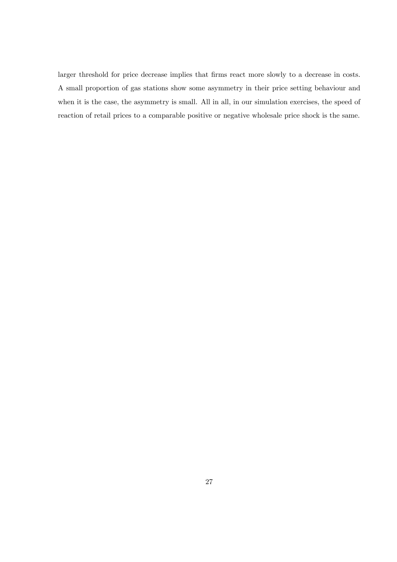larger threshold for price decrease implies that firms react more slowly to a decrease in costs. A small proportion of gas stations show some asymmetry in their price setting behaviour and when it is the case, the asymmetry is small. All in all, in our simulation exercises, the speed of reaction of retail prices to a comparable positive or negative wholesale price shock is the same.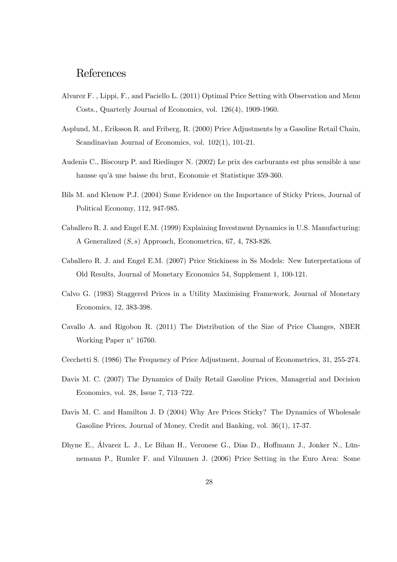# References

- Alvarez F. , Lippi, F., and Paciello L. (2011) Optimal Price Setting with Observation and Menu Costs., Quarterly Journal of Economics, vol. 126(4), 1909-1960.
- Asplund, M., Eriksson R. and Friberg, R. (2000) Price Adjustments by a Gasoline Retail Chain, Scandinavian Journal of Economics, vol.  $102(1)$ ,  $101-21$ .
- Audenis C., Biscourp P. and Riedinger N.  $(2002)$  Le prix des carburants est plus sensible à une hausse qu'à une baisse du brut, Economie et Statistique 359-360.
- Bils M. and Klenow P.J. (2004) Some Evidence on the Importance of Sticky Prices, Journal of Political Economy, 112, 947-985.
- Caballero R. J. and Engel E.M. (1999) Explaining Investment Dynamics in U.S. Manufacturing: A Generalized (S; s) Approach, Econometrica, 67, 4, 783-826.
- Caballero R. J. and Engel E.M. (2007) Price Stickiness in Ss Models: New Interpretations of Old Results, Journal of Monetary Economics 54, Supplement 1, 100-121.
- Calvo G. (1983) Staggered Prices in a Utility Maximising Framework, Journal of Monetary Economics, 12, 383-398.
- Cavallo A. and Rigobon R. (2011) The Distribution of the Size of Price Changes, NBER Working Paper  $n^{\circ}$  16760.
- Cecchetti S. (1986) The Frequency of Price Adjustment, Journal of Econometrics, 31, 255-274.
- Davis M. C. (2007) The Dynamics of Daily Retail Gasoline Prices, Managerial and Decision Economics, vol. 28, Issue 7, 713-722.
- Davis M. C. and Hamilton J. D (2004) Why Are Prices Sticky? The Dynamics of Wholesale Gasoline Prices, Journal of Money, Credit and Banking, vol. 36(1), 17-37.
- Dhyne E., Álvarez L. J., Le Bihan H., Veronese G., Dias D., Hoffmann J., Jonker N., Lünnemann P., Rumler F. and Vilmunen J. (2006) Price Setting in the Euro Area: Some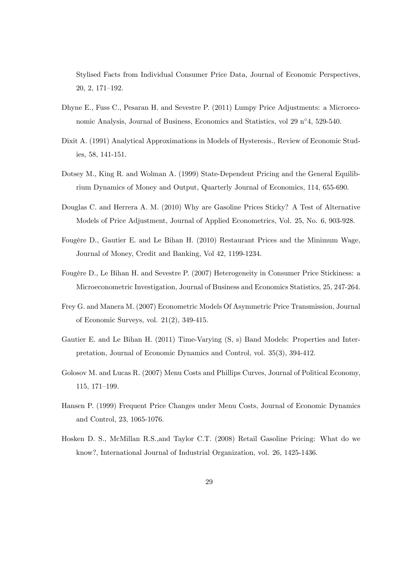Stylised Facts from Individual Consumer Price Data, Journal of Economic Perspectives,  $20, 2, 171-192.$ 

- Dhyne E., Fuss C., Pesaran H. and Sevestre P. (2011) Lumpy Price Adjustments: a Microeconomic Analysis, Journal of Business, Economics and Statistics, vol 29  $n^{\circ}4$ , 529-540.
- Dixit A. (1991) Analytical Approximations in Models of Hysteresis., Review of Economic Studies, 58, 141-151.
- Dotsey M., King R. and Wolman A. (1999) State-Dependent Pricing and the General Equilibrium Dynamics of Money and Output, Quarterly Journal of Economics, 114, 655-690.
- Douglas C. and Herrera A. M. (2010) Why are Gasoline Prices Sticky? A Test of Alternative Models of Price Adjustment, Journal of Applied Econometrics, Vol. 25, No. 6, 903-928.
- Fougère D., Gautier E. and Le Bihan H. (2010) Restaurant Prices and the Minimum Wage, Journal of Money, Credit and Banking, Vol 42, 1199-1234.
- Fougère D., Le Bihan H. and Sevestre P. (2007) Heterogeneity in Consumer Price Stickiness: a Microeconometric Investigation, Journal of Business and Economics Statistics, 25, 247-264.
- Frey G. and Manera M. (2007) Econometric Models Of Asymmetric Price Transmission, Journal of Economic Surveys, vol. 21(2), 349-415.
- Gautier E. and Le Bihan H. (2011) Time-Varying (S, s) Band Models: Properties and Interpretation, Journal of Economic Dynamics and Control, vol. 35(3), 394-412.
- Golosov M. and Lucas R. (2007) Menu Costs and Phillips Curves, Journal of Political Economy, 115, 171-199.
- Hansen P. (1999) Frequent Price Changes under Menu Costs, Journal of Economic Dynamics and Control, 23, 1065-1076.
- Hosken D. S., McMillan R.S.,and Taylor C.T. (2008) Retail Gasoline Pricing: What do we know?, International Journal of Industrial Organization, vol. 26, 1425-1436.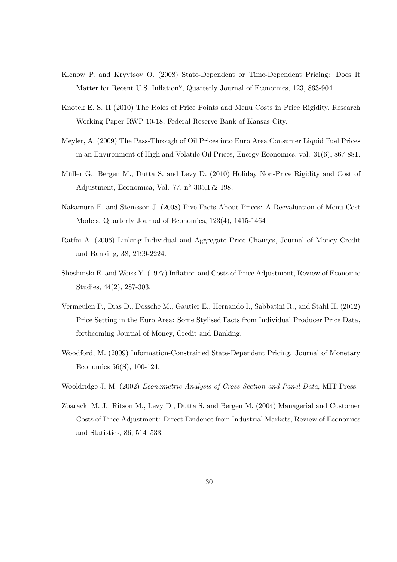- Klenow P. and Kryvtsov O. (2008) State-Dependent or Time-Dependent Pricing: Does It Matter for Recent U.S. Inflation?, Quarterly Journal of Economics, 123, 863-904.
- Knotek E. S. II (2010) The Roles of Price Points and Menu Costs in Price Rigidity, Research Working Paper RWP 10-18, Federal Reserve Bank of Kansas City.
- Meyler, A. (2009) The Pass-Through of Oil Prices into Euro Area Consumer Liquid Fuel Prices in an Environment of High and Volatile Oil Prices, Energy Economics, vol. 31(6), 867-881.
- Müller G., Bergen M., Dutta S. and Levy D. (2010) Holiday Non-Price Rigidity and Cost of Adjustment, Economica, Vol. 77,  $n^{\circ}$  305,172-198.
- Nakamura E. and Steinsson J. (2008) Five Facts About Prices: A Reevaluation of Menu Cost Models, Quarterly Journal of Economics, 123(4), 1415-1464
- Ratfai A. (2006) Linking Individual and Aggregate Price Changes, Journal of Money Credit and Banking, 38, 2199-2224.
- Sheshinski E. and Weiss Y. (1977) Inflation and Costs of Price Adjustment, Review of Economic Studies, 44(2), 287-303.
- Vermeulen P., Dias D., Dossche M., Gautier E., Hernando I., Sabbatini R., and Stahl H. (2012) Price Setting in the Euro Area: Some Stylised Facts from Individual Producer Price Data, forthcoming Journal of Money, Credit and Banking.
- Woodford, M. (2009) Information-Constrained State-Dependent Pricing. Journal of Monetary Economics 56(S), 100-124.
- Wooldridge J. M. (2002) Econometric Analysis of Cross Section and Panel Data, MIT Press.
- Zbaracki M. J., Ritson M., Levy D., Dutta S. and Bergen M. (2004) Managerial and Customer Costs of Price Adjustment: Direct Evidence from Industrial Markets, Review of Economics and Statistics,  $86, 514-533$ .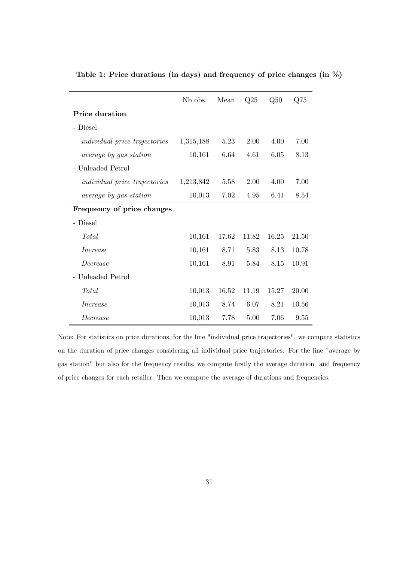|                                      | N <sub>b</sub> obs. | Mean  | Q25   | Q50   | Q75   |
|--------------------------------------|---------------------|-------|-------|-------|-------|
| <b>Price duration</b>                |                     |       |       |       |       |
| - Diesel                             |                     |       |       |       |       |
| <i>individual price trajectories</i> | 1,315,188           | 5.23  | 2.00  | 4.00  | 7.00  |
| <i>average by gas station</i>        | 10,161              | 6.64  | 4.61  | 6.05  | 8.13  |
| - Unleaded Petrol                    |                     |       |       |       |       |
| <i>individual price trajectories</i> | 1,213,842           | 5.58  | 2.00  | 4.00  | 7.00  |
| <i>average by gas station</i>        | 10,013              | 7.02  | 4.95  | 6.41  | 8.54  |
| Frequency of price changes           |                     |       |       |       |       |
| - Diesel                             |                     |       |       |       |       |
| Total                                | 10,161              | 17.62 | 11.82 | 16.25 | 21.50 |
| <i>Increase</i>                      | 10,161              | 8.71  | 5.83  | 8.13  | 10.78 |
| Decrease                             | 10,161              | 8.91  | 5.84  | 8.15  | 10.91 |
| - Unleaded Petrol                    |                     |       |       |       |       |
| <b>Total</b>                         | 10,013              | 16.52 | 11.19 | 15.27 | 20.00 |
| <i>Increase</i>                      | 10,013              | 8.74  | 6.07  | 8.21  | 10.56 |
| Decrease                             | 10,013              | 7.78  | 5.00  | 7.06  | 9.55  |

Table 1: Price durations (in days) and frequency of price changes (in %)

Note: For statistics on price durations, for the line "individual price trajectories", we compute statistics on the duration of price changes considering all individual price trajectories. For the line "average by gas station" but also for the frequency results, we compute firstly the average duration and frequency of price changes for each retailer. Then we compute the average of durations and frequencies.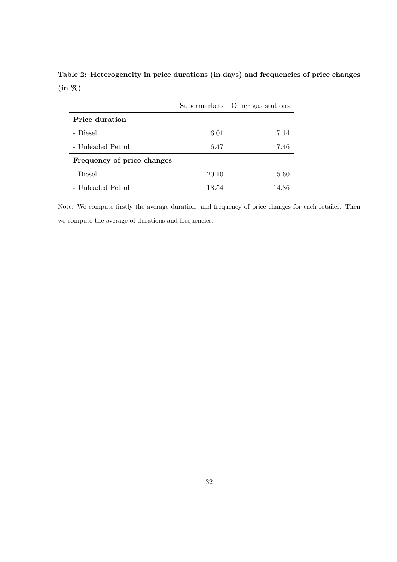|                            |       | Supermarkets Other gas stations |
|----------------------------|-------|---------------------------------|
| Price duration             |       |                                 |
| - Diesel                   | 6.01  | 7.14                            |
| - Unleaded Petrol          | 6.47  | 7.46                            |
| Frequency of price changes |       |                                 |
| - Diesel                   | 20.10 | 15.60                           |
| - Unleaded Petrol          | 18.54 | 14.86                           |

Table 2: Heterogeneity in price durations (in days) and frequencies of price changes (in %)

Note: We compute firstly the average duration and frequency of price changes for each retailer. Then we compute the average of durations and frequencies.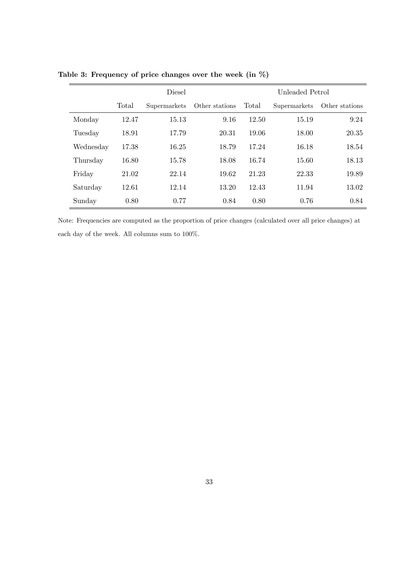|           |       | <b>Diesel</b> |                |       | Unleaded Petrol |                |  |
|-----------|-------|---------------|----------------|-------|-----------------|----------------|--|
|           | Total | Supermarkets  | Other stations | Total | Supermarkets    | Other stations |  |
| Monday    | 12.47 | 15.13         | 9.16           | 12.50 | 15.19           | 9.24           |  |
| Tuesday   | 18.91 | 17.79         | 20.31          | 19.06 | 18.00           | 20.35          |  |
| Wednesday | 17.38 | 16.25         | 18.79          | 17.24 | 16.18           | 18.54          |  |
| Thursday  | 16.80 | 15.78         | 18.08          | 16.74 | 15.60           | 18.13          |  |
| Friday    | 21.02 | 22.14         | 19.62          | 21.23 | 22.33           | 19.89          |  |
| Saturday  | 12.61 | 12.14         | 13.20          | 12.43 | 11.94           | 13.02          |  |
| Sunday    | 0.80  | 0.77          | 0.84           | 0.80  | 0.76            | 0.84           |  |

Table 3: Frequency of price changes over the week (in %)

Note: Frequencies are computed as the proportion of price changes (calculated over all price changes) at each day of the week. All columns sum to 100%.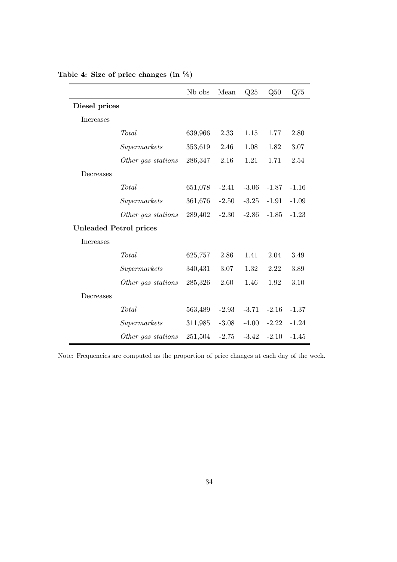|                               |                    | N <sub>b</sub> obs | Mean    | Q25     | Q50     | Q75     |
|-------------------------------|--------------------|--------------------|---------|---------|---------|---------|
| Diesel prices                 |                    |                    |         |         |         |         |
| Increases                     |                    |                    |         |         |         |         |
|                               | Total              | 639,966            | 2.33    | 1.15    | 1.77    | 2.80    |
|                               | Supermarks         | 353,619            | 2.46    | 1.08    | 1.82    | 3.07    |
|                               | Other gas stations | 286,347            | 2.16    | 1.21    | 1.71    | 2.54    |
| Decreases                     |                    |                    |         |         |         |         |
|                               | Total              | 651,078            | $-2.41$ | $-3.06$ | $-1.87$ | $-1.16$ |
|                               | Supermarks         | 361,676            | $-2.50$ | $-3.25$ | $-1.91$ | $-1.09$ |
|                               | Other gas stations | 289,402            | $-2.30$ | $-2.86$ | $-1.85$ | $-1.23$ |
| <b>Unleaded Petrol prices</b> |                    |                    |         |         |         |         |
| Increases                     |                    |                    |         |         |         |         |
|                               | Total              | 625,757            | 2.86    | 1.41    | 2.04    | 3.49    |
|                               | Supermarks         | 340,431            | 3.07    | 1.32    | 2.22    | 3.89    |
|                               | Other gas stations | 285,326            | 2.60    | 1.46    | 1.92    | 3.10    |
| Decreases                     |                    |                    |         |         |         |         |
|                               | Total              | 563,489            | $-2.93$ | $-3.71$ | $-2.16$ | $-1.37$ |
|                               | Supermarks         | 311,985            | $-3.08$ | $-4.00$ | $-2.22$ | $-1.24$ |
|                               | Other gas stations | 251,504            | $-2.75$ | $-3.42$ | $-2.10$ | $-1.45$ |

Table 4: Size of price changes (in %)

Note: Frequencies are computed as the proportion of price changes at each day of the week.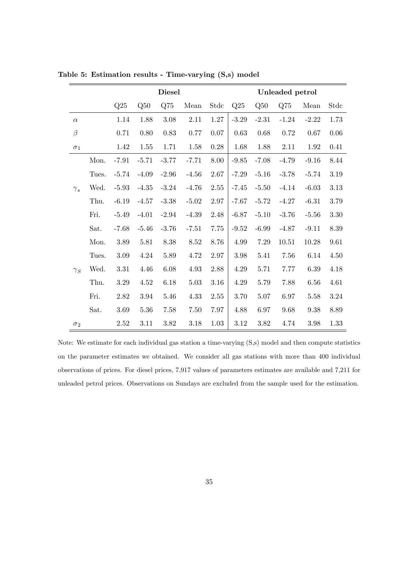|            |       |          |          | <b>Diesel</b> |          |          | Unleaded petrol |          |           |         |          |  |
|------------|-------|----------|----------|---------------|----------|----------|-----------------|----------|-----------|---------|----------|--|
|            |       | Q25      | Q50      | Q75           | Mean     | Stdc     | Q25             | Q50      | Q75       | Mean    | Stdc     |  |
| $\alpha$   |       | 1.14     | 1.88     | 3.08          | 2.11     | $1.27\,$ | $-3.29$         | $-2.31$  | $-1.24$   | $-2.22$ | 1.73     |  |
| $\beta$    |       | 0.71     | 0.80     | 0.83          | 0.77     | 0.07     | 0.63            | 0.68     | 0.72      | 0.67    | 0.06     |  |
| $\sigma_1$ |       | 1.42     | 1.55     | 1.71          | 1.58     | $0.28\,$ | 1.68            | 1.88     | 2.11      | 1.92    | 0.41     |  |
|            | Mon.  | $-7.91$  | $-5.71$  | $-3.77$       | $-7.71$  | 8.00     | $-9.85$         | $-7.08$  | $-4.79$   | $-9.16$ | 8.44     |  |
|            | Tues. | $-5.74$  | $-4.09$  | $-2.96$       | $-4.56$  | 2.67     | $-7.29$         | $-5.16$  | $-3.78$   | $-5.74$ | 3.19     |  |
| $\gamma_s$ | Wed.  | $-5.93$  | $-4.35$  | $-3.24$       | $-4.76$  | 2.55     | $-7.45$         | $-5.50$  | $-4.14$   | $-6.03$ | $3.13\,$ |  |
|            | Thu.  | $-6.19$  | $-4.57$  | $-3.38$       | $-5.02$  | 2.97     | $-7.67$         | $-5.72$  | $-4.27$   | $-6.31$ | 3.79     |  |
|            | Fri.  | $-5.49$  | $-4.01$  | $-2.94$       | $-4.39$  | 2.48     | $-6.87$         | $-5.10$  | $-3.76$   | $-5.56$ | 3.30     |  |
|            | Sat.  | $-7.68$  | $-5.46$  | $-3.76$       | $-7.51$  | 7.75     | $-9.52$         | $-6.99$  | $-4.87$   | $-9.11$ | 8.39     |  |
|            | Mon.  | 3.89     | 5.81     | 8.38          | 8.52     | 8.76     | 4.99            | 7.29     | $10.51\,$ | 10.28   | 9.61     |  |
|            | Tues. | $3.09\,$ | 4.24     | 5.89          | 4.72     | 2.97     | 3.98            | 5.41     | 7.56      | 6.14    | 4.50     |  |
| $\gamma_S$ | Wed.  | 3.31     | 4.46     | $6.08\,$      | 4.93     | 2.88     | 4.29            | 5.71     | 7.77      | 6.39    | 4.18     |  |
|            | Thu.  | $3.29\,$ | 4.52     | 6.18          | $5.03\,$ | $3.16\,$ | 4.29            | 5.79     | 7.88      | 6.56    | 4.61     |  |
|            | Fri.  | 2.82     | 3.94     | 5.46          | 4.33     | 2.55     | 3.70            | $5.07\,$ | 6.97      | 5.58    | 3.24     |  |
|            | Sat.  | 3.69     | $5.36\,$ | 7.58          | 7.50     | 7.97     | 4.88            | 6.97     | 9.68      | 9.38    | 8.89     |  |
| $\sigma_2$ |       | 2.52     | 3.11     | 3.82          | 3.18     | 1.03     | 3.12            | 3.82     | 4.74      | 3.98    | 1.33     |  |

Table 5: Estimation results - Time-varying (S,s) model

Note: We estimate for each individual gas station a time-varying (S,s) model and then compute statistics on the parameter estimates we obtained. We consider all gas stations with more than 400 individual observations of prices. For diesel prices, 7,917 values of parameters estimates are available and 7,211 for unleaded petrol prices. Observations on Sundays are excluded from the sample used for the estimation.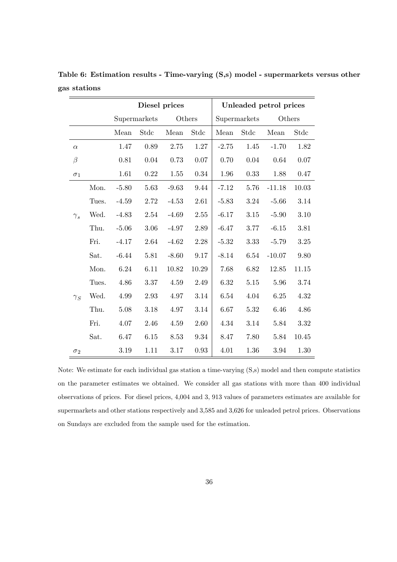|            |       |         | Diesel prices |         | Unleaded petrol prices |         |              |          |       |
|------------|-------|---------|---------------|---------|------------------------|---------|--------------|----------|-------|
|            |       |         | Supermarkets  | Others  |                        |         | Supermarkets | Others   |       |
|            |       | Mean    | Stdc          | Mean    | Stdc                   | Mean    | Stdc         | Mean     | Stdc  |
| $\alpha$   |       | 1.47    | 0.89          | 2.75    | 1.27                   | $-2.75$ | 1.45         | $-1.70$  | 1.82  |
| $\beta$    |       | 0.81    | 0.04          | 0.73    | 0.07                   | 0.70    | 0.04         | 0.64     | 0.07  |
| $\sigma_1$ |       | 1.61    | 0.22          | 1.55    | 0.34                   | 1.96    | 0.33         | 1.88     | 0.47  |
|            | Mon.  | $-5.80$ | 5.63          | $-9.63$ | 9.44                   | $-7.12$ | 5.76         | $-11.18$ | 10.03 |
|            | Tues. | $-4.59$ | 2.72          | $-4.53$ | 2.61                   | $-5.83$ | 3.24         | $-5.66$  | 3.14  |
| $\gamma_s$ | Wed.  | $-4.83$ | 2.54          | $-4.69$ | $2.55\,$               | $-6.17$ | 3.15         | $-5.90$  | 3.10  |
|            | Thu.  | $-5.06$ | 3.06          | $-4.97$ | 2.89                   | $-6.47$ | 3.77         | $-6.15$  | 3.81  |
|            | Fri.  | $-4.17$ | 2.64          | $-4.62$ | 2.28                   | $-5.32$ | 3.33         | $-5.79$  | 3.25  |
|            | Sat.  | $-6.44$ | 5.81          | $-8.60$ | 9.17                   | $-8.14$ | 6.54         | $-10.07$ | 9.80  |
|            | Mon.  | 6.24    | 6.11          | 10.82   | 10.29                  | 7.68    | 6.82         | 12.85    | 11.15 |
|            | Tues. | 4.86    | 3.37          | 4.59    | 2.49                   | 6.32    | $5.15\,$     | 5.96     | 3.74  |
| $\gamma_S$ | Wed.  | 4.99    | 2.93          | 4.97    | 3.14                   | 6.54    | 4.04         | 6.25     | 4.32  |
|            | Thu.  | 5.08    | 3.18          | 4.97    | 3.14                   | 6.67    | 5.32         | 6.46     | 4.86  |
|            | Fri.  | 4.07    | 2.46          | 4.59    | 2.60                   | 4.34    | 3.14         | 5.84     | 3.32  |
|            | Sat.  | 6.47    | 6.15          | 8.53    | 9.34                   | 8.47    | 7.80         | 5.84     | 10.45 |
| $\sigma_2$ |       | 3.19    | 1.11          | 3.17    | 0.93                   | 4.01    | 1.36         | 3.94     | 1.30  |

Table 6: Estimation results - Time-varying (S,s) model - supermarkets versus other gas stations

Note: We estimate for each individual gas station a time-varying (S,s) model and then compute statistics on the parameter estimates we obtained. We consider all gas stations with more than 400 individual observations of prices. For diesel prices, 4,004 and 3, 913 values of parameters estimates are available for supermarkets and other stations respectively and 3,585 and 3,626 for unleaded petrol prices. Observations on Sundays are excluded from the sample used for the estimation.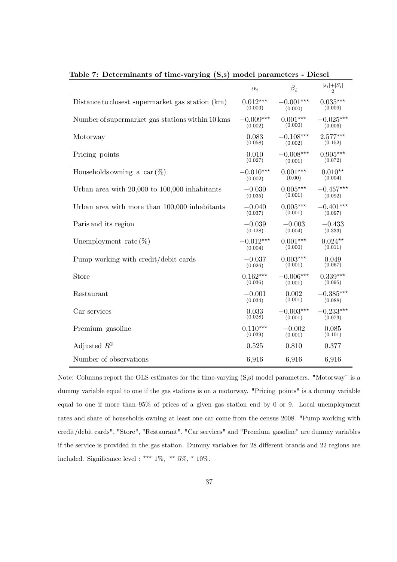|                                                   | $\alpha_i$  | $\beta_i$   | $\frac{ s_i + S_i }{2}$ |
|---------------------------------------------------|-------------|-------------|-------------------------|
| Distance to closest supermarket gas station (km)  | $0.012***$  | $-0.001***$ | $0.035***$              |
|                                                   | (0.003)     | (0.000)     | (0.009)                 |
| Number of supermarket gas stations within 10 kms  | $-0.009***$ | $0.001***$  | $-0.025***$             |
|                                                   | (0.002)     | (0.000)     | (0.006)                 |
| Motorway                                          | 0.083       | $-0.108***$ | $2.577***$              |
|                                                   | (0.058)     | (0.002)     | (0.152)                 |
| Pricing points                                    | 0.010       | $-0.008***$ | $0.905***$              |
|                                                   | (0.027)     | (0.001)     | (0.072)                 |
| Households owning a car $(\%)$                    | $-0.010***$ | $0.001***$  | $0.010**$               |
|                                                   | (0.002)     | (0.00)      | (0.004)                 |
| Urban area with $20,000$ to $100,000$ inhabitants | $-0.030$    | $0.005***$  | $-0.457***$             |
|                                                   | (0.035)     | (0.001)     | (0.092)                 |
| Urban area with more than 100,000 inhabitants     | $-0.040$    | $0.005***$  | $-0.401***$             |
|                                                   | (0.037)     | (0.001)     | (0.097)                 |
| Paris and its region                              | $-0.039$    | $-0.003$    | $-0.433$                |
|                                                   | (0.128)     | (0.004)     | (0.333)                 |
| Unemployment rate $(\%)$                          | $-0.012***$ | $0.001***$  | $0.024**$               |
|                                                   | (0.004)     | (0.000)     | (0.011)                 |
| Pump working with credit/debit cards              | $-0.037$    | $0.003***$  | 0.049                   |
|                                                   | (0.026)     | (0.001)     | (0.067)                 |
| Store                                             | $0.162***$  | $-0.006***$ | $0.339***$              |
|                                                   | (0.036)     | (0.001)     | (0.095)                 |
| Restaurant                                        | $-0.001$    | 0.002       | $-0.385***$             |
|                                                   | (0.034)     | (0.001)     | (0.088)                 |
| Car services                                      | 0.033       | $-0.003***$ | $-0.233***$             |
|                                                   | (0.028)     | (0.001)     | (0.073)                 |
| Premium gasoline                                  | $0.110***$  | $-0.002$    | 0.085                   |
|                                                   | (0.039)     | (0.001)     | (0.101)                 |
| Adjusted $R^2$                                    | 0.525       | 0.810       | 0.377                   |
| Number of observations                            | 6,916       | 6,916       | 6,916                   |

Table 7: Determinants of time-varying (S,s) model parameters - Diesel

Note: Columns report the OLS estimates for the time-varying (S,s) model parameters. "Motorway" is a dummy variable equal to one if the gas stations is on a motorway. "Pricing points" is a dummy variable equal to one if more than 95% of prices of a given gas station end by 0 or 9. Local unemployment rates and share of households owning at least one car come from the census 2008. "Pump working with credit/debit cards", "Store", "Restaurant", "Car services" and "Premium gasoline" are dummy variables if the service is provided in the gas station. Dummy variables for 28 different brands and 22 regions are included. Significance level : \*\*\*  $1\%$ , \*\*  $5\%$ , \*  $10\%$ .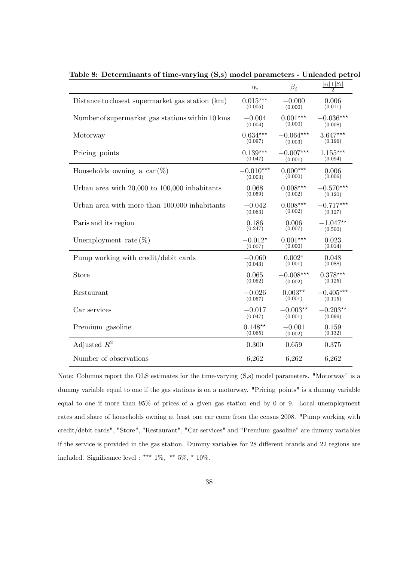|                                                   | $\alpha_i$  | $\beta_i$   | $\frac{ s_i + S_i }{2}$ |
|---------------------------------------------------|-------------|-------------|-------------------------|
| Distance to closest supermarket gas station (km)  | $0.015***$  | $-0.000$    | 0.006                   |
|                                                   | (0.005)     | (0.000)     | (0.011)                 |
| Number of supermarket gas stations within 10 kms  | $-0.004$    | $0.001***$  | $-0.036***$             |
|                                                   | (0.004)     | (0.000)     | (0.008)                 |
| Motorway                                          | $0.634***$  | $-0.064***$ | $3.647***$              |
|                                                   | (0.097)     | (0.003)     | (0.196)                 |
| Pricing points                                    | $0.139***$  | $-0.007***$ | $1.155***$              |
|                                                   | (0.047)     | (0.001)     | (0.094)                 |
| Households owning a car $(\%)$                    | $-0.010***$ | $0.000***$  | 0.006                   |
|                                                   | (0.003)     | (0.000)     | (0.006)                 |
| Urban area with $20,000$ to $100,000$ inhabitants | 0.068       | $0.008***$  | $-0.570***$             |
|                                                   | (0.059)     | (0.002)     | (0.120)                 |
| Urban area with more than 100,000 inhabitants     | $-0.042$    | $0.008***$  | $-0.717***$             |
|                                                   | (0.063)     | (0.002)     | (0.127)                 |
| Paris and its region                              | 0.186       | 0.006       | $-1.047**$              |
|                                                   | (0.247)     | (0.007)     | (0.500)                 |
| Unemployment rate $(\%)$                          | $-0.012*$   | $0.001***$  | 0.023                   |
|                                                   | (0.007)     | (0.000)     | (0.014)                 |
| Pump working with credit/debit cards              | $-0.060$    | $0.002*$    | 0.048                   |
|                                                   | (0.043)     | (0.001)     | (0.088)                 |
| Store                                             | 0.065       | $-0.008***$ | $0.378***$              |
|                                                   | (0.062)     | (0.002)     | (0.125)                 |
| Restaurant                                        | $-0.026$    | $0.003**$   | $-0.405***$             |
|                                                   | (0.057)     | (0.001)     | (0.115)                 |
| Car services                                      | $-0.017$    | $-0.003**$  | $-0.203**$              |
|                                                   | (0.047)     | (0.001)     | (0.096)                 |
| Premium gasoline                                  | $0.148**$   | $-0.001$    | 0.159                   |
|                                                   | (0.065)     | (0.002)     | (0.132)                 |
| Adjusted $R^2$                                    | 0.300       | 0.659       | 0.375                   |
| Number of observations                            | 6,262       | 6,262       | 6,262                   |

Table 8: Determinants of time-varying (S,s) model parameters - Unleaded petrol

Note: Columns report the OLS estimates for the time-varying (S,s) model parameters. "Motorway" is a dummy variable equal to one if the gas stations is on a motorway. "Pricing points" is a dummy variable equal to one if more than 95% of prices of a given gas station end by 0 or 9. Local unemployment rates and share of households owning at least one car come from the census 2008. "Pump working with credit/debit cards", "Store", "Restaurant", "Car services" and "Premium gasoline" are dummy variables if the service is provided in the gas station. Dummy variables for 28 different brands and 22 regions are included. Significance level : \*\*\*  $1\%$ , \*\*  $5\%$ , \*  $10\%$ .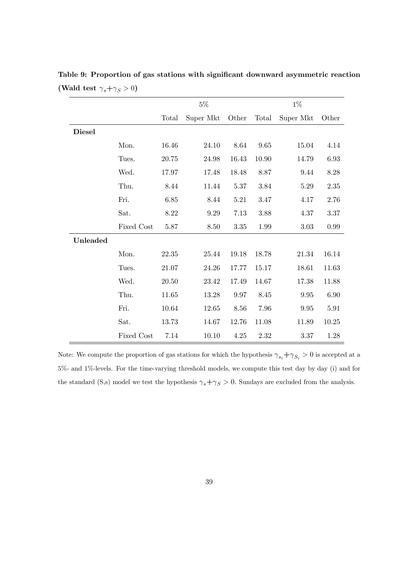|               |            |          | $5\%$     |          |       | $1\%$     |           |
|---------------|------------|----------|-----------|----------|-------|-----------|-----------|
|               |            | Total    | Super Mkt | Other    | Total | Super Mkt | Other     |
| <b>Diesel</b> |            |          |           |          |       |           |           |
|               | Mon.       | 16.46    | 24.10     | 8.64     | 9.65  | 15.04     | 4.14      |
|               | Tues.      | 20.75    | 24.98     | 16.43    | 10.90 | 14.79     | 6.93      |
|               | Wed.       | 17.97    | 17.48     | 18.48    | 8.87  | 9.44      | 8.28      |
|               | Thu.       | 8.44     | 11.44     | 5.37     | 3.84  | 5.29      | 2.35      |
|               | Fri.       | $6.85\,$ | 8.44      | 5.21     | 3.47  | 4.17      | 2.76      |
|               | Sat.       | $8.22\,$ | $9.29\,$  | $7.13\,$ | 3.88  | 4.37      | 3.37      |
|               | Fixed Cost | 5.87     | 8.50      | 3.35     | 1.99  | 3.03      | $0.99\,$  |
| Unleaded      |            |          |           |          |       |           |           |
|               | Mon.       | 22.35    | 25.44     | 19.18    | 18.78 | 21.34     | $16.14\,$ |
|               | Tues.      | 21.07    | 24.26     | 17.77    | 15.17 | 18.61     | 11.63     |
|               | Wed.       | 20.50    | 23.42     | 17.49    | 14.67 | 17.38     | 11.88     |
|               | Thu.       | 11.65    | 13.28     | 9.97     | 8.45  | 9.95      | 6.90      |
|               | Fri.       | 10.64    | 12.65     | 8.56     | 7.96  | 9.95      | 5.91      |
|               | Sat.       | 13.73    | 14.67     | 12.76    | 11.08 | 11.89     | 10.25     |
|               | Fixed Cost | 7.14     | 10.10     | 4.25     | 2.32  | 3.37      | 1.28      |

Table 9: Proportion of gas stations with significant downward asymmetric reaction (Wald test  $\gamma_s + \gamma_S > 0$ )

Note: We compute the proportion of gas stations for which the hypothesis  $\gamma_{s_i} + \gamma_{S_i} > 0$  is accepted at a 5%- and 1%-levels. For the time-varying threshold models, we compute this test day by day (i) and for the standard (S,s) model we test the hypothesis  $\gamma_s + \gamma_s > 0$ . Sundays are excluded from the analysis.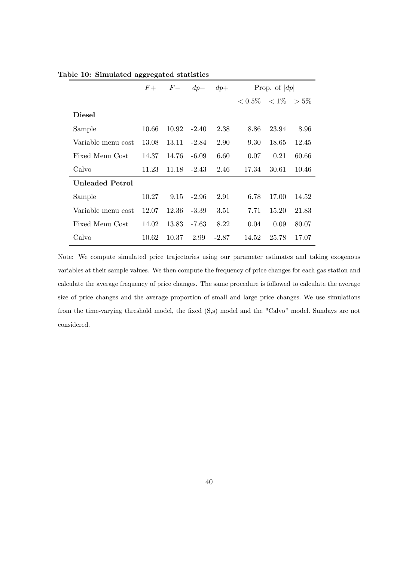|                    | $F_{\pm}$ | $F-$  | $dp-$   | $dp+$   | Prop. of $ dp $   |       |         |  |
|--------------------|-----------|-------|---------|---------|-------------------|-------|---------|--|
|                    |           |       |         |         | $< 0.5\%$ $< 1\%$ |       | $> 5\%$ |  |
| Diesel             |           |       |         |         |                   |       |         |  |
| Sample             | 10.66     | 10.92 | $-2.40$ | 2.38    | 8.86              | 23.94 | 8.96    |  |
| Variable menu cost | 13.08     | 13.11 | $-2.84$ | 2.90    | 9.30              | 18.65 | 12.45   |  |
| Fixed Menu Cost    | 14.37     | 14.76 | $-6.09$ | 6.60    | 0.07              | 0.21  | 60.66   |  |
| Calvo              | 11.23     | 11.18 | $-2.43$ | 2.46    | 17.34             | 30.61 | 10.46   |  |
| Unleaded Petrol    |           |       |         |         |                   |       |         |  |
| Sample             | 10.27     | 9.15  | $-2.96$ | 2.91    | 6.78              | 17.00 | 14.52   |  |
| Variable menu cost | 12.07     | 12.36 | $-3.39$ | 3.51    | 7.71              | 15.20 | 21.83   |  |
| Fixed Menu Cost    | 14.02     | 13.83 | $-7.63$ | 8.22    | 0.04              | 0.09  | 80.07   |  |
| Calvo              | 10.62     | 10.37 | 2.99    | $-2.87$ | 14.52             | 25.78 | 17.07   |  |

Table 10: Simulated aggregated statistics

Note: We compute simulated price trajectories using our parameter estimates and taking exogenous variables at their sample values. We then compute the frequency of price changes for each gas station and calculate the average frequency of price changes. The same procedure is followed to calculate the average size of price changes and the average proportion of small and large price changes. We use simulations from the time-varying threshold model, the fixed (S,s) model and the "Calvo" model. Sundays are not considered.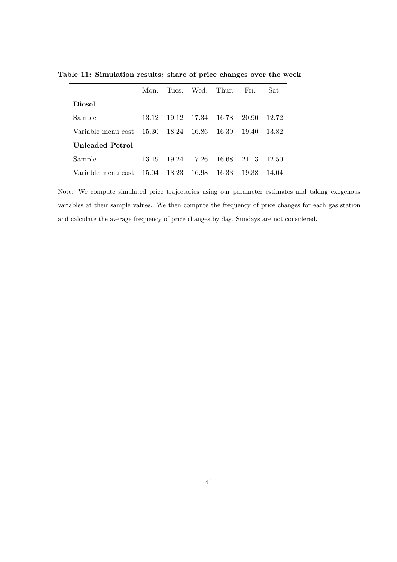|                    | Mon     | Tues  | Wed.   | - Thur. | Fri.  | Sat.  |
|--------------------|---------|-------|--------|---------|-------|-------|
| <b>Diesel</b>      |         |       |        |         |       |       |
| Sample             | 13 12   | 19.12 | 17.34  | - 16.78 | 20.90 | 12.72 |
| Variable menu cost | - 15.30 | 18.24 | -16.86 | - 16.39 | 19.40 | 13.82 |
| Unleaded Petrol    |         |       |        |         |       |       |
| Sample             | 13.19   | 19.24 | 17.26  | 16.68   | 21.13 | 12.50 |
| Variable menu cost | 15.04   | 18.23 | 16.98  | 16.33   | 19.38 | 14.04 |

Table 11: Simulation results: share of price changes over the week

Note: We compute simulated price trajectories using our parameter estimates and taking exogenous variables at their sample values. We then compute the frequency of price changes for each gas station and calculate the average frequency of price changes by day. Sundays are not considered.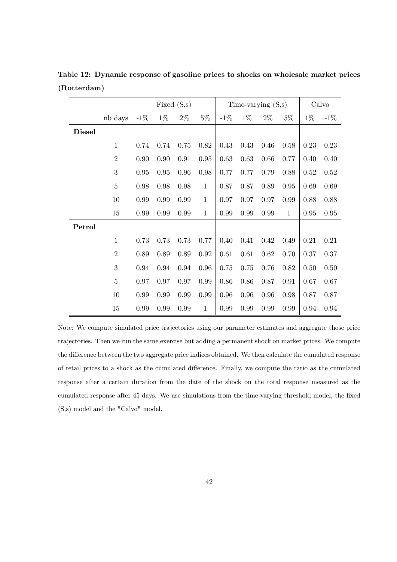|               |                |          |          | Fixed $(S,s)$ |              |        |          | Time-varying $(S,s)$ |              | Calvo |        |
|---------------|----------------|----------|----------|---------------|--------------|--------|----------|----------------------|--------------|-------|--------|
|               | nb days        | $-1\%$   | $1\%$    | $2\%$         | $5\%$        | $-1\%$ | $1\%$    | $2\%$                | $5\%$        | $1\%$ | $-1\%$ |
| <b>Diesel</b> |                |          |          |               |              |        |          |                      |              |       |        |
|               | $\mathbf{1}$   | 0.74     | 0.74     | 0.75          | 0.82         | 0.43   | 0.43     | 0.46                 | 0.58         | 0.23  | 0.23   |
|               | $\overline{2}$ | $0.90\,$ | $0.90\,$ | $\rm 0.91$    | 0.95         | 0.63   | 0.63     | 0.66                 | 0.77         | 0.40  | 0.40   |
|               | $\sqrt{3}$     | 0.95     | 0.95     | 0.96          | 0.98         | 0.77   | 0.77     | 0.79                 | 0.88         | 0.52  | 0.52   |
|               | $\bf 5$        | 0.98     | 0.98     | 0.98          | $\mathbf{1}$ | 0.87   | 0.87     | 0.89                 | $0.95\,$     | 0.69  | 0.69   |
|               | 10             | 0.99     | 0.99     | 0.99          | $\mathbf{1}$ | 0.97   | 0.97     | 0.97                 | 0.99         | 0.88  | 0.88   |
|               | 15             | 0.99     | 0.99     | 0.99          | $\mathbf{1}$ | 0.99   | 0.99     | 0.99                 | $\mathbf{1}$ | 0.95  | 0.95   |
| Petrol        |                |          |          |               |              |        |          |                      |              |       |        |
|               | $\mathbf{1}$   | 0.73     | 0.73     | 0.73          | 0.77         | 0.40   | 0.41     | 0.42                 | 0.49         | 0.21  | 0.21   |
|               | $\overline{2}$ | 0.89     | 0.89     | 0.89          | 0.92         | 0.61   | $0.61\,$ | 0.62                 | 0.70         | 0.37  | 0.37   |
|               | 3              | 0.94     | 0.94     | 0.94          | 0.96         | 0.75   | 0.75     | 0.76                 | 0.82         | 0.50  | 0.50   |
|               | $\overline{5}$ | 0.97     | 0.97     | 0.97          | 0.99         | 0.86   | $0.86\,$ | 0.87                 | 0.91         | 0.67  | 0.67   |
|               | 10             | 0.99     | 0.99     | 0.99          | 0.99         | 0.96   | 0.96     | 0.96                 | 0.98         | 0.87  | 0.87   |
|               | 15             | 0.99     | 0.99     | 0.99          | $\mathbf{1}$ | 0.99   | 0.99     | 0.99                 | 0.99         | 0.94  | 0.94   |

Table 12: Dynamic response of gasoline prices to shocks on wholesale market prices (Rotterdam)

Note: We compute simulated price trajectories using our parameter estimates and aggregate those price trajectories. Then we run the same exercise but adding a permanent shock on market prices. We compute the difference between the two aggregate price indices obtained. We then calculate the cumulated response of retail prices to a shock as the cumulated difference. Finally, we compute the ratio as the cumulated response after a certain duration from the date of the shock on the total response measured as the cumulated response after 45 days. We use simulations from the time-varying threshold model, the fixed (S,s) model and the "Calvo" model.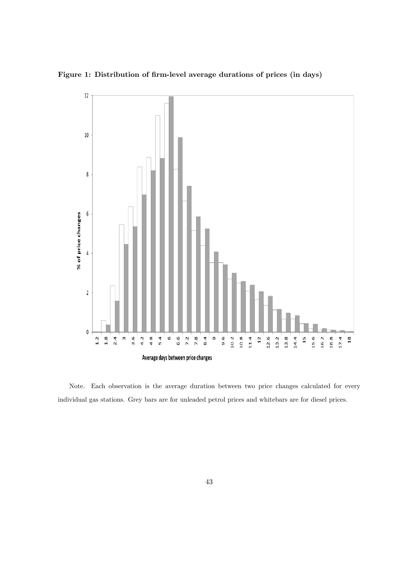Figure 1: Distribution of firm-level average durations of prices (in days)



Note. Each observation is the average duration between two price changes calculated for every individual gas stations. Grey bars are for unleaded petrol prices and whitebars are for diesel prices.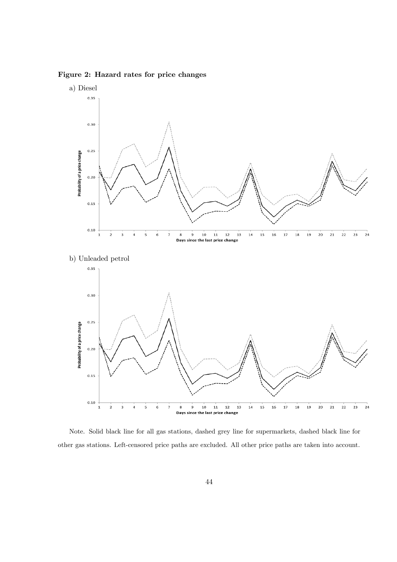Figure 2: Hazard rates for price changes



Note. Solid black line for all gas stations, dashed grey line for supermarkets, dashed black line for other gas stations. Left-censored price paths are excluded. All other price paths are taken into account.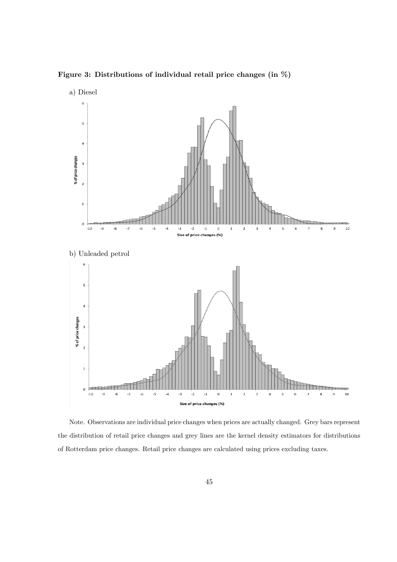Figure 3: Distributions of individual retail price changes (in %)



Note. Observations are individual price changes when prices are actually changed. Grey bars represent the distribution of retail price changes and grey lines are the kernel density estimators for distributions of Rotterdam price changes. Retail price changes are calculated using prices excluding taxes.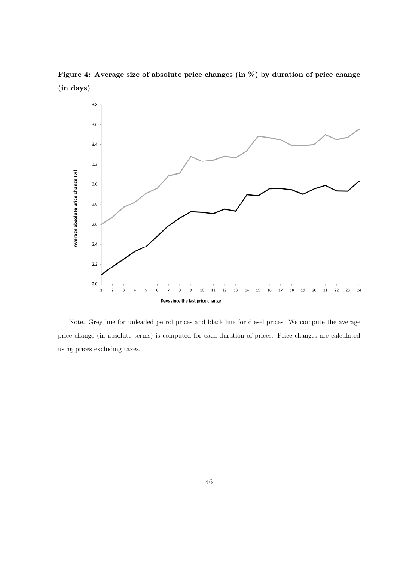Figure 4: Average size of absolute price changes (in %) by duration of price change (in days)



Note. Grey line for unleaded petrol prices and black line for diesel prices. We compute the average price change (in absolute terms) is computed for each duration of prices. Price changes are calculated using prices excluding taxes.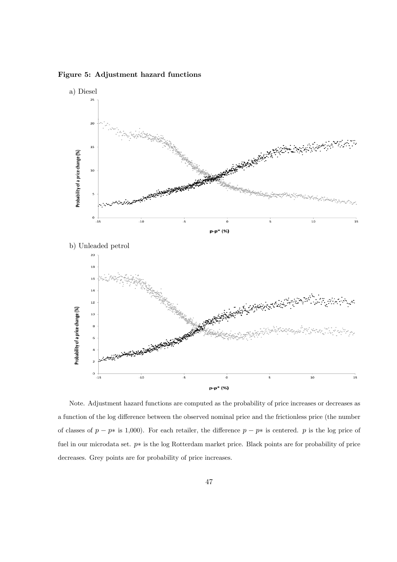Figure 5: Adjustment hazard functions



Note. Adjustment hazard functions are computed as the probability of price increases or decreases as a function of the log difference between the observed nominal price and the frictionless price (the number of classes of  $p - p*$  is 1,000). For each retailer, the difference  $p - p*$  is centered. p is the log price of fuel in our microdata set.  $p*$  is the log Rotterdam market price. Black points are for probability of price decreases. Grey points are for probability of price increases.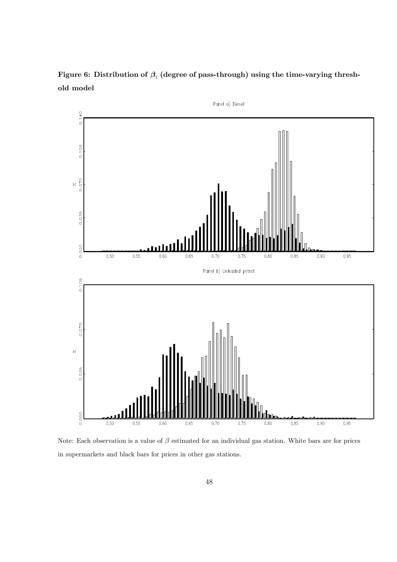Figure 6: Distribution of  $\beta_i$  (degree of pass-through) using the time-varying threshold model



Note: Each observation is a value of  $\beta$  estimated for an individual gas station. White bars are for prices in supermarkets and black bars for prices in other gas stations.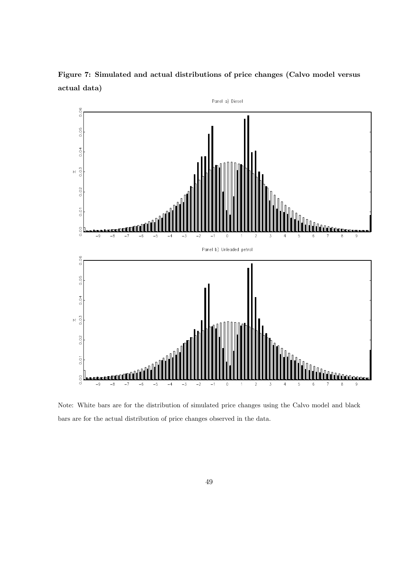

Figure 7: Simulated and actual distributions of price changes (Calvo model versus actual data)

Note: White bars are for the distribution of simulated price changes using the Calvo model and black bars are for the actual distribution of price changes observed in the data.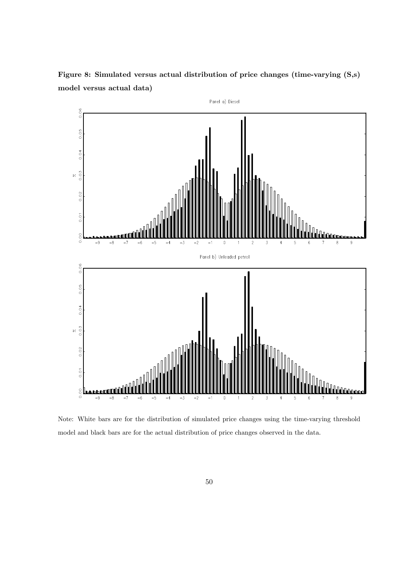Figure 8: Simulated versus actual distribution of price changes (time-varying (S,s) model versus actual data)



Note: White bars are for the distribution of simulated price changes using the time-varying threshold model and black bars are for the actual distribution of price changes observed in the data.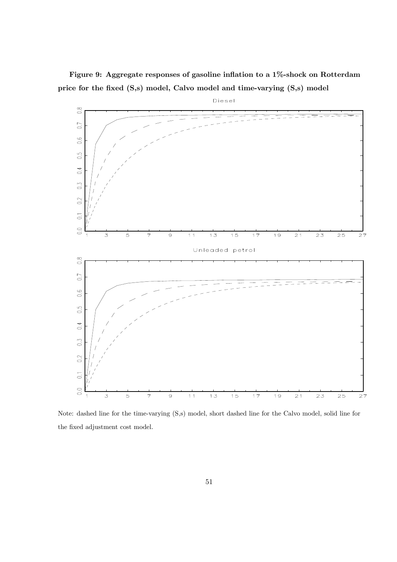Figure 9: Aggregate responses of gasoline inflation to a  $1\%$ -shock on Rotterdam price for the fixed (S,s) model, Calvo model and time-varying (S,s) model



Note: dashed line for the time-varying (S,s) model, short dashed line for the Calvo model, solid line for the fixed adjustment cost model.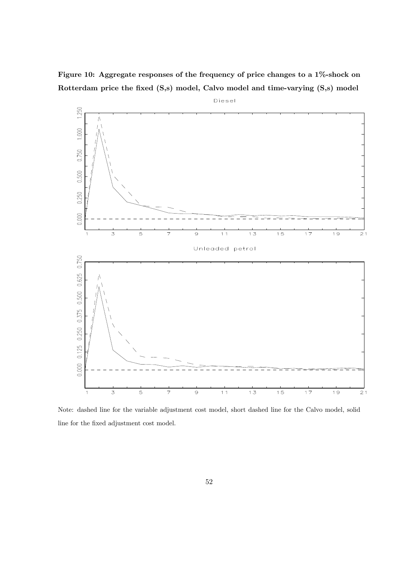Figure 10: Aggregate responses of the frequency of price changes to a 1%-shock on Rotterdam price the fixed (S,s) model, Calvo model and time-varying (S,s) model



Note: dashed line for the variable adjustment cost model, short dashed line for the Calvo model, solid line for the fixed adjustment cost model.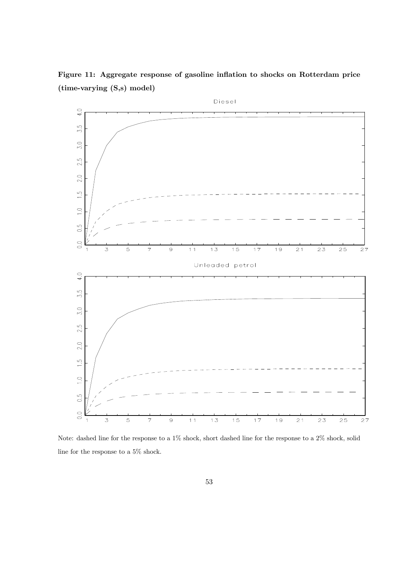Figure 11: Aggregate response of gasoline inflation to shocks on Rotterdam price (time-varying (S,s) model)



Note: dashed line for the response to a 1% shock, short dashed line for the response to a 2% shock, solid line for the response to a 5% shock.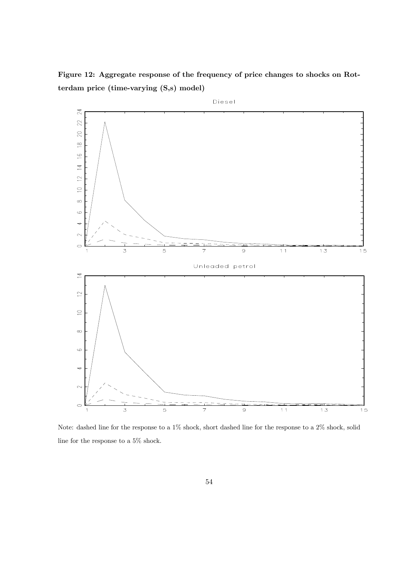Figure 12: Aggregate response of the frequency of price changes to shocks on Rotterdam price (time-varying (S,s) model)



Note: dashed line for the response to a 1% shock, short dashed line for the response to a 2% shock, solid line for the response to a  $5\%$  shock.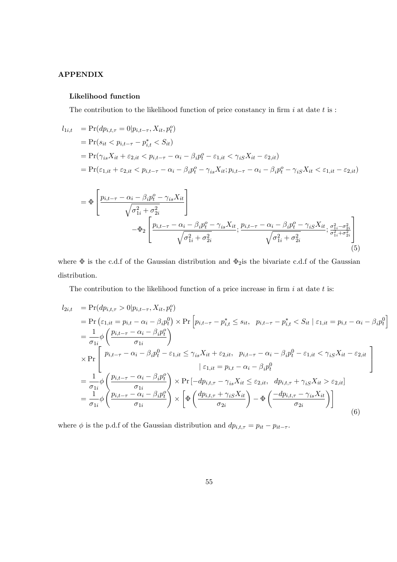#### APPENDIX

#### Likelihood function

The contribution to the likelihood function of price constancy in firm  $i$  at date  $t$  is :

$$
l_{1i,t} = \Pr(dp_{i,t,\tau} = 0 | p_{i,t-\tau}, X_{it}, p_t^o)
$$
  
= 
$$
\Pr(s_{it} < p_{i,t-\tau} - p_{i,t}^* < S_{it})
$$
  
= 
$$
\Pr(\gamma_{is}X_{it} + \varepsilon_{2,it} < p_{i,t-\tau} - \alpha_i - \beta_i p_t^o - \varepsilon_{1,it} < \gamma_{iS}X_{it} - \varepsilon_{2,it})
$$
  
= 
$$
\Pr(\varepsilon_{1,it} + \varepsilon_{2,it} < p_{i,t-\tau} - \alpha_i - \beta_i p_t^o - \gamma_{is}X_{it}; p_{i,t-\tau} - \alpha_i - \beta_i p_t^o - \gamma_{iS}X_{it} < \varepsilon_{1,it} - \varepsilon_{2,it})
$$

$$
= \Phi \left[ \frac{p_{i,t-\tau} - \alpha_i - \beta_i p_t^o - \gamma_{is} X_{it}}{\sqrt{\sigma_{1i}^2 + \sigma_{2i}^2}} \right] - \Phi_2 \left[ \frac{p_{i,t-\tau} - \alpha_i - \beta_i p_t^o - \gamma_{is} X_{it}}{\sqrt{\sigma_{1i}^2 + \sigma_{2i}^2}}; \frac{p_{i,t-\tau} - \alpha_i - \beta_i p_t^o - \gamma_{is} X_{it}}{\sqrt{\sigma_{1i}^2 + \sigma_{2i}^2}}; \frac{\sigma_{1i}^2 - \sigma_{2i}^2}{\sigma_{1i}^2 + \sigma_{2i}^2}} \right]
$$
(5)

where  $\Phi$  is the c.d.f of the Gaussian distribution and  $\Phi_2$  is the bivariate c.d.f of the Gaussian distribution.

The contribution to the likelihood function of a price increase in firm  $i$  at date  $t$  is:

$$
l_{2i,t} = \Pr(dp_{i,t,\tau} > 0 | p_{i,t-\tau}, X_{it}, p_t^o)
$$
  
\n
$$
= \Pr\left(\varepsilon_{1,it} = p_{i,t} - \alpha_i - \beta_i p_t^0\right) \times \Pr\left[p_{i,t-\tau} - p_{i,t}^* \le s_{it}, p_{i,t-\tau} - p_{i,t}^* < S_{it} | \varepsilon_{1,it} = p_{i,t} - \alpha_i - \beta_i p_t^0\right]
$$
  
\n
$$
= \frac{1}{\sigma_{1i}} \phi\left(\frac{p_{i,t-\tau} - \alpha_i - \beta_i p_t^0}{\sigma_{1i}}\right)
$$
  
\n
$$
\times \Pr\left[\begin{array}{c}p_{i,t-\tau} - \alpha_i - \beta_i p_t^0 - \varepsilon_{1,it} \le \gamma_{is} X_{it} + \varepsilon_{2,it}, p_{i,t-\tau} - \alpha_i - \beta_i p_t^0 - \varepsilon_{1,it} < \gamma_{is} X_{it} - \varepsilon_{2,it} \\|\varepsilon_{1,it} = p_{i,t} - \alpha_i - \beta_i p_t^0\end{array}\right]
$$
  
\n
$$
= \frac{1}{\sigma_{1i}} \phi\left(\frac{p_{i,t-\tau} - \alpha_i - \beta_i p_t^o}{\sigma_{1i}}\right) \times \Pr\left[-dp_{i,t,\tau} - \gamma_{is} X_{it} \le \varepsilon_{2,it}, dp_{i,t,\tau} + \gamma_{is} X_{it} > \varepsilon_{2,it}\right]
$$
  
\n
$$
= \frac{1}{\sigma_{1i}} \phi\left(\frac{p_{i,t-\tau} - \alpha_i - \beta_i p_t^o}{\sigma_{1i}}\right) \times \left[\Phi\left(\frac{dp_{i,t,\tau} + \gamma_{is} X_{it}}{\sigma_{2i}}\right) - \Phi\left(\frac{-dp_{i,t,\tau} - \gamma_{is} X_{it}}{\sigma_{2i}}\right)\right]
$$
  
\n(6)

where  $\phi$  is the p.d.f of the Gaussian distribution and  $dp_{i,t,\tau} = p_{it} - p_{it-\tau}$ .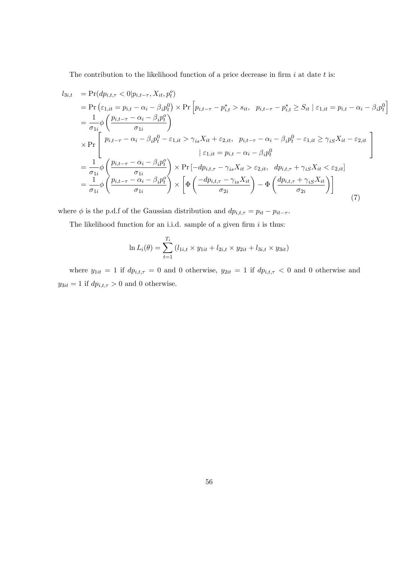The contribution to the likelihood function of a price decrease in firm  $i$  at date  $t$  is:

$$
l_{3i,t} = \Pr(dp_{i,t,\tau} < 0 | p_{i,t-\tau}, X_{it}, p_t^o)
$$
\n
$$
= \Pr\left(\varepsilon_{1,it} = p_{i,t} - \alpha_i - \beta_i p_t^0\right) \times \Pr\left[p_{i,t-\tau} - p_{i,t}^* > s_{it}, p_{i,t-\tau} - p_{i,t}^* \ge S_{it} \mid \varepsilon_{1,it} = p_{i,t} - \alpha_i - \beta_i p_t^0\right]
$$
\n
$$
= \frac{1}{\sigma_{1i}} \phi\left(\frac{p_{i,t-\tau} - \alpha_i - \beta_i p_t^o}{\sigma_{1i}}\right)
$$
\n
$$
\times \Pr\left[\begin{array}{c} p_{i,t-\tau} - \alpha_i - \beta_i p_t^0 - \varepsilon_{1,it} > \gamma_{is} X_{it} + \varepsilon_{2,it}, p_{i,t-\tau} - \alpha_i - \beta_i p_t^0 - \varepsilon_{1,it} \ge \gamma_{is} X_{it} - \varepsilon_{2,it} \\ \varepsilon_{1,it} = p_{i,t} - \alpha_i - \beta_i p_t^0 \end{array}\right]
$$
\n
$$
= \frac{1}{\sigma_{1i}} \phi\left(\frac{p_{i,t-\tau} - \alpha_i - \beta_i p_t^o}{\sigma_{1i}}\right) \times \Pr\left[-dp_{i,t,\tau} - \gamma_{is} X_{it} > \varepsilon_{2,it}, dp_{i,t,\tau} + \gamma_{is} X_{it} < \varepsilon_{2,it}\right]
$$
\n
$$
= \frac{1}{\sigma_{1i}} \phi\left(\frac{p_{i,t-\tau} - \alpha_i - \beta_i p_t^o}{\sigma_{1i}}\right) \times \left[\Phi\left(\frac{-dp_{i,t,\tau} - \gamma_{is} X_{it}}{\sigma_{2i}}\right) - \Phi\left(\frac{dp_{i,t,\tau} + \gamma_{is} X_{it}}{\sigma_{2i}}\right)\right]
$$
\n(7)

where  $\phi$  is the p.d.f of the Gaussian distribution and  $dp_{i,t,\tau} = p_{it} - p_{it-\tau}$ .

The likelihood function for an i.i.d. sample of a given firm  $i$  is thus:

$$
\ln L_i(\theta) = \sum_{t=1}^{T_i} (l_{1i,t} \times y_{1it} + l_{2i,t} \times y_{2it} + l_{3i,t} \times y_{3it})
$$

where  $y_{1it} = 1$  if  $dp_{i,t,\tau} = 0$  and 0 otherwise,  $y_{2it} = 1$  if  $dp_{i,t,\tau} < 0$  and 0 otherwise and  $y_{3it} = 1$  if  $dp_{i,t,\tau} > 0$  and  $0$  otherwise.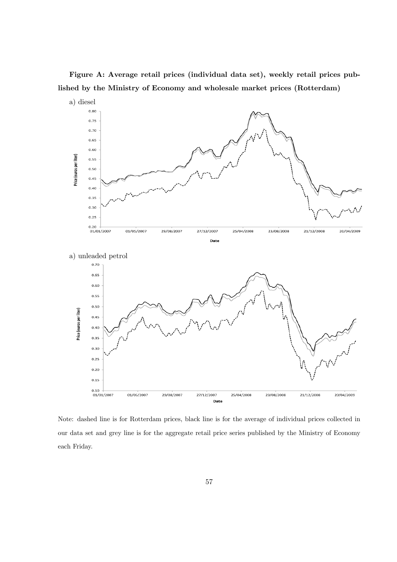Figure A: Average retail prices (individual data set), weekly retail prices published by the Ministry of Economy and wholesale market prices (Rotterdam)



Note: dashed line is for Rotterdam prices, black line is for the average of individual prices collected in our data set and grey line is for the aggregate retail price series published by the Ministry of Economy each Friday.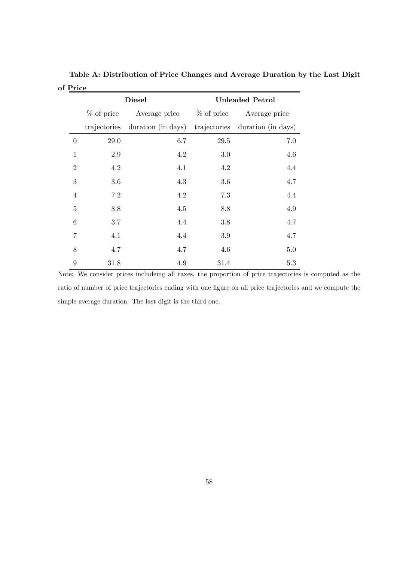|                |              | <b>Diesel</b>      | <b>Unleaded Petrol</b> |                                 |  |  |
|----------------|--------------|--------------------|------------------------|---------------------------------|--|--|
|                | $%$ of price | Average price      | $%$ of price           | Average price                   |  |  |
|                | trajectories | duration (in days) |                        | trajectories duration (in days) |  |  |
| $\overline{0}$ | 29.0         | 6.7                | 29.5                   | 7.0                             |  |  |
| $\mathbf{1}$   | 2.9          | 4.2                | 3.0                    | 4.6                             |  |  |
| $\overline{2}$ | 4.2          | 4.1                | 4.2                    | 4.4                             |  |  |
| 3              | 3.6          | 4.3                | 3.6                    | 4.7                             |  |  |
| $\overline{4}$ | 7.2          | 4.2                | 7.3                    | 4.4                             |  |  |
| $\overline{5}$ | 8.8          | 4.5                | 8.8                    | 4.9                             |  |  |
| 6              | 3.7          | 4.4                | 3.8                    | 4.7                             |  |  |
| 7              | 4.1          | 4.4                | 3.9                    | 4.7                             |  |  |
| 8              | 4.7          | 4.7                | 4.6                    | 5.0                             |  |  |
| $\overline{9}$ | 31.8         | 4.9                | 31.4                   | 5.3                             |  |  |

Table A: Distribution of Price Changes and Average Duration by the Last Digit of Price

Note: We consider prices includeing all taxes, the proportion of price trajectories is computed as the ratio of number of price trajectories ending with one figure on all price trajectories and we compute the simple average duration. The last digit is the third one.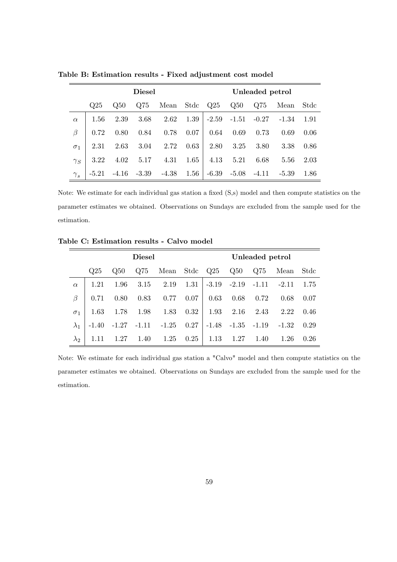|            | <b>Diesel</b> |             |                 |               | Unleaded petrol |         |         |         |         |      |
|------------|---------------|-------------|-----------------|---------------|-----------------|---------|---------|---------|---------|------|
|            | Q25           | $\Omega$ 50 | Q <sub>75</sub> | Mean Stdc Q25 |                 |         | Q50     | Q75     | Mean    | Stdc |
| $\alpha$   | 1.56          | 2.39        | 3.68            | 2.62          | 1.39            | $-2.59$ | $-1.51$ | $-0.27$ | $-1.34$ | 1.91 |
| $\beta$    | 0.72          | 0.80        | 0.84            | 0.78          | 0.07            | 0.64    | 0.69    | 0.73    | 0.69    | 0.06 |
| $\sigma_1$ | 2.31          | 2.63        | 3.04            | 2.72          | 0.63            | 2.80    | 3.25    | 3.80    | 3.38    | 0.86 |
| $\gamma_S$ | 3.22          | 4.02        | 5.17            | 4.31          | 1.65            | 4.13    | 5.21    | 6.68    | 5.56    | 2.03 |
| $\gamma_s$ | $-5.21$       | $-4.16$     | $-3.39$         | $-4.38$       | $1.56\,$        | $-6.39$ | $-5.08$ | $-4.11$ | $-5.39$ | 1.86 |

Table B: Estimation results - Fixed adjustment cost model

Note: We estimate for each individual gas station a fixed (S,s) model and then compute statistics on the parameter estimates we obtained. Observations on Sundays are excluded from the sample used for the estimation.

 $\overline{\phantom{0}}$ 

|             | <b>Diesel</b> |         |         |               | Unleaded petrol |         |                 |         |           |      |
|-------------|---------------|---------|---------|---------------|-----------------|---------|-----------------|---------|-----------|------|
|             | Q25           | Q50     | Q75     | Mean Stdc Q25 |                 |         | Q <sub>50</sub> | Q75     | Mean Stdc |      |
| $\alpha$    | 1.21          | 1.96    | 3.15    | 2.19          | 1.31            |         | $-3.19 - 2.19$  | $-1.11$ | $-2.11$   | 1.75 |
| β           | 0.71          | 0.80    | 0.83    | 0.77          | 0.07            | 0.63    | 0.68            | 0.72    | 0.68      | 0.07 |
| $\sigma_1$  | 1.63          | 1.78    | 1.98    | 1.83          | 0.32            | 1.93    | 2.16            | 2.43    | 2.22      | 0.46 |
|             | $-1.40$       | $-1.27$ | $-1.11$ | $-1.25$       | 0.27            | $-1.48$ | $-1.35$         | $-1.19$ | $-1.32$   | 0.29 |
| $\lambda_2$ |               | 1.27    | 1.40    | 1.25          | 0.25            | 1.13    | 1.27            | 1.40    | 1.26      | 0.26 |

Note: We estimate for each individual gas station a "Calvo" model and then compute statistics on the parameter estimates we obtained. Observations on Sundays are excluded from the sample used for the estimation.